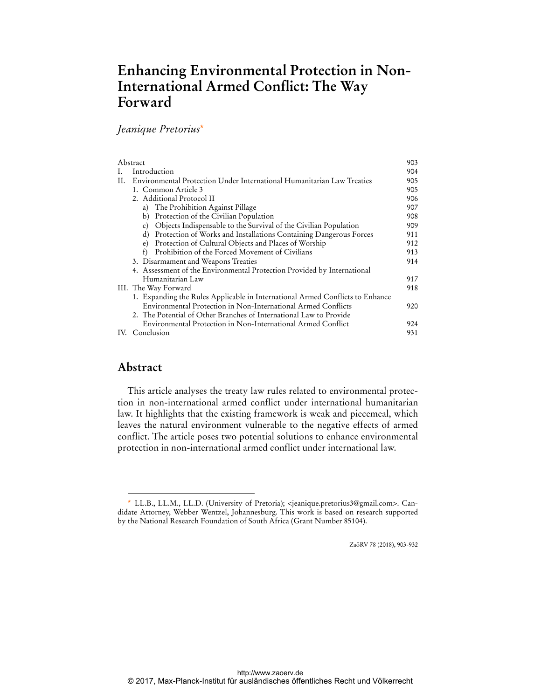# **Enhancing Environmental Protection in Non-International Armed Conflict: The Way Forward**

# *Jeanique Pretorius*\*

| Abstract |                                                                                    | 903 |
|----------|------------------------------------------------------------------------------------|-----|
|          | Introduction                                                                       | 904 |
| H.       | Environmental Protection Under International Humanitarian Law Treaties             | 905 |
|          | 1. Common Article 3                                                                | 905 |
|          | 2. Additional Protocol II                                                          | 906 |
|          | a) The Prohibition Against Pillage                                                 | 907 |
|          | Protection of the Civilian Population<br>b)                                        | 908 |
|          | Objects Indispensable to the Survival of the Civilian Population<br>$\mathbf{c}$ ) | 909 |
|          | Protection of Works and Installations Containing Dangerous Forces<br>d)            | 911 |
|          | e) Protection of Cultural Objects and Places of Worship                            | 912 |
|          | Prohibition of the Forced Movement of Civilians<br>$\ddot{\phantom{1}}$            | 913 |
|          | 3. Disarmament and Weapons Treaties                                                | 914 |
|          | 4. Assessment of the Environmental Protection Provided by International            |     |
|          | Humanitarian Law                                                                   | 917 |
|          | III. The Way Forward                                                               | 918 |
|          | 1. Expanding the Rules Applicable in International Armed Conflicts to Enhance      |     |
|          | Environmental Protection in Non-International Armed Conflicts                      | 920 |
|          | 2. The Potential of Other Branches of International Law to Provide                 |     |
|          | Environmental Protection in Non-International Armed Conflict                       | 924 |
|          | IV. Conclusion                                                                     | 931 |
|          |                                                                                    |     |

# **Abstract**

 $\ddot{ }$ 

This article analyses the treaty law rules related to environmental protection in non-international armed conflict under international humanitarian law. It highlights that the existing framework is weak and piecemeal, which leaves the natural environment vulnerable to the negative effects of armed conflict. The article poses two potential solutions to enhance environmental protection in non-international armed conflict under international law.

ZaöRV 78 (2018), 903-932

<sup>\*</sup> LL.B., LL.M., LL.D. (University of Pretoria); <jeanique.pretorius3@gmail.com>. Candidate Attorney, Webber Wentzel, Johannesburg. This work is based on research supported by the National Research Foundation of South Africa (Grant Number 85104).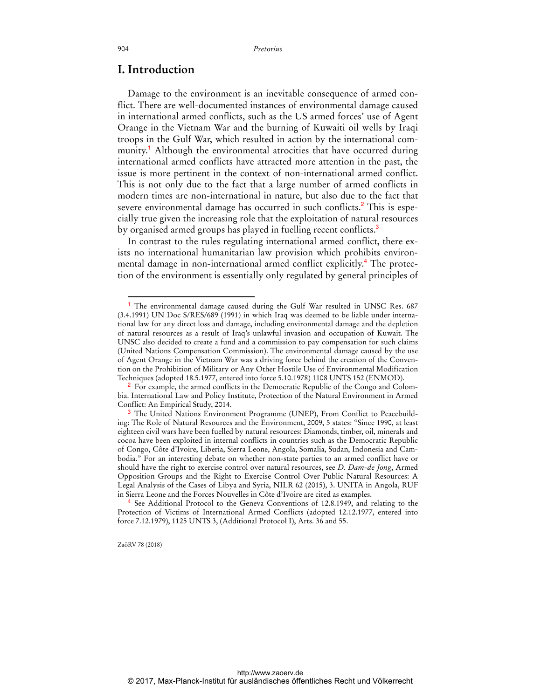# **I. Introduction**

Damage to the environment is an inevitable consequence of armed conflict. There are well-documented instances of environmental damage caused in international armed conflicts, such as the US armed forces' use of Agent Orange in the Vietnam War and the burning of Kuwaiti oil wells by Iraqi troops in the Gulf War, which resulted in action by the international community.<sup>1</sup> Although the environmental atrocities that have occurred during international armed conflicts have attracted more attention in the past, the issue is more pertinent in the context of non-international armed conflict. This is not only due to the fact that a large number of armed conflicts in modern times are non-international in nature, but also due to the fact that severe environmental damage has occurred in such conflicts.<sup>2</sup> This is especially true given the increasing role that the exploitation of natural resources by organised armed groups has played in fuelling recent conflicts.<sup>3</sup>

In contrast to the rules regulating international armed conflict, there exists no international humanitarian law provision which prohibits environmental damage in non-international armed conflict explicitly.<sup>4</sup> The protection of the environment is essentially only regulated by general principles of

ZaöRV 78 (2018)

<sup>&</sup>lt;sup>1</sup> The environmental damage caused during the Gulf War resulted in UNSC Res. 687 (3.4.1991) UN Doc S/RES/689 (1991) in which Iraq was deemed to be liable under international law for any direct loss and damage, including environmental damage and the depletion of natural resources as a result of Iraq's unlawful invasion and occupation of Kuwait. The UNSC also decided to create a fund and a commission to pay compensation for such claims (United Nations Compensation Commission). The environmental damage caused by the use of Agent Orange in the Vietnam War was a driving force behind the creation of the Convention on the Prohibition of Military or Any Other Hostile Use of Environmental Modification Techniques (adopted 18.5.1977, entered into force 5.10.1978) 1108 UNTS 152 (ENMOD).

<sup>&</sup>lt;sup>2</sup> For example, the armed conflicts in the Democratic Republic of the Congo and Colombia. International Law and Policy Institute, Protection of the Natural Environment in Armed Conflict: An Empirical Study, 2014.

<sup>3</sup> The United Nations Environment Programme (UNEP), From Conflict to Peacebuilding: The Role of Natural Resources and the Environment, 2009, 5 states: "Since 1990, at least eighteen civil wars have been fuelled by natural resources: Diamonds, timber, oil, minerals and cocoa have been exploited in internal conflicts in countries such as the Democratic Republic of Congo, Côte d'Ivoire, Liberia, Sierra Leone, Angola, Somalia, Sudan, Indonesia and Cambodia." For an interesting debate on whether non-state parties to an armed conflict have or should have the right to exercise control over natural resources, see *D. Dam-de Jong*, Armed Opposition Groups and the Right to Exercise Control Over Public Natural Resources: A Legal Analysis of the Cases of Libya and Syria, NILR 62 (2015), 3. UNITA in Angola, RUF in Sierra Leone and the Forces Nouvelles in Côte d'Ivoire are cited as examples.

<sup>4</sup> See Additional Protocol to the Geneva Conventions of 12.8.1949, and relating to the Protection of Victims of International Armed Conflicts (adopted 12.12.1977, entered into force 7.12.1979), 1125 UNTS 3, (Additional Protocol I), Arts. 36 and 55.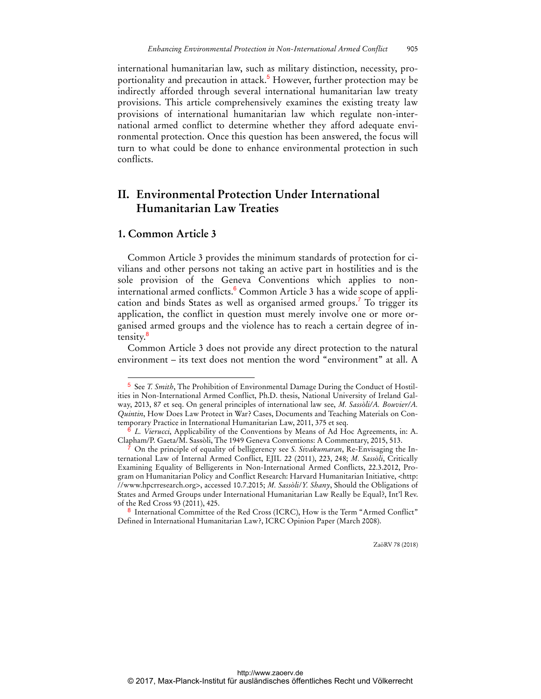international humanitarian law, such as military distinction, necessity, proportionality and precaution in attack.<sup>5</sup> However, further protection may be indirectly afforded through several international humanitarian law treaty provisions. This article comprehensively examines the existing treaty law provisions of international humanitarian law which regulate non-international armed conflict to determine whether they afford adequate environmental protection. Once this question has been answered, the focus will turn to what could be done to enhance environmental protection in such conflicts.

# **II. Environmental Protection Under International Humanitarian Law Treaties**

### **1. Common Article 3**

 $\overline{a}$ 

Common Article 3 provides the minimum standards of protection for civilians and other persons not taking an active part in hostilities and is the sole provision of the Geneva Conventions which applies to noninternational armed conflicts.<sup>6</sup> Common Article 3 has a wide scope of application and binds States as well as organised armed groups.<sup>7</sup> To trigger its application, the conflict in question must merely involve one or more organised armed groups and the violence has to reach a certain degree of intensity.<sup>8</sup>

Common Article 3 does not provide any direct protection to the natural environment – its text does not mention the word "environment" at all. A

<sup>5</sup> See *T. Smith*, The Prohibition of Environmental Damage During the Conduct of Hostilities in Non-International Armed Conflict, Ph.D. thesis, National University of Ireland Galway, 2013, 87 et seq. On general principles of international law see, *M. Sassòli/A. Bouvier/A. Quintin*, How Does Law Protect in War? Cases, Documents and Teaching Materials on Contemporary Practice in International Humanitarian Law, 2011, 375 et seq.

<sup>6</sup> *L. Vierucci*, Applicability of the Conventions by Means of Ad Hoc Agreements, in: A. Clapham/P. Gaeta/M. Sassòli, The 1949 Geneva Conventions: A Commentary, 2015, 513.

<sup>7</sup> On the principle of equality of belligerency see *S. Sivakumaran*, Re-Envisaging the International Law of Internal Armed Conflict, EJIL 22 (2011), 223, 248; *M. Sassòli*, Critically Examining Equality of Belligerents in Non-International Armed Conflicts, 22.3.2012, Program on Humanitarian Policy and Conflict Research: Harvard Humanitarian Initiative, <http: //www.hpcrresearch.org>, accessed 10.7.2015; *M. Sassòli*/*Y. Shany*, Should the Obligations of States and Armed Groups under International Humanitarian Law Really be Equal?, Int'l Rev. of the Red Cross 93 (2011), 425.

<sup>8</sup> International Committee of the Red Cross (ICRC), How is the Term "Armed Conflict" Defined in International Humanitarian Law?, ICRC Opinion Paper (March 2008).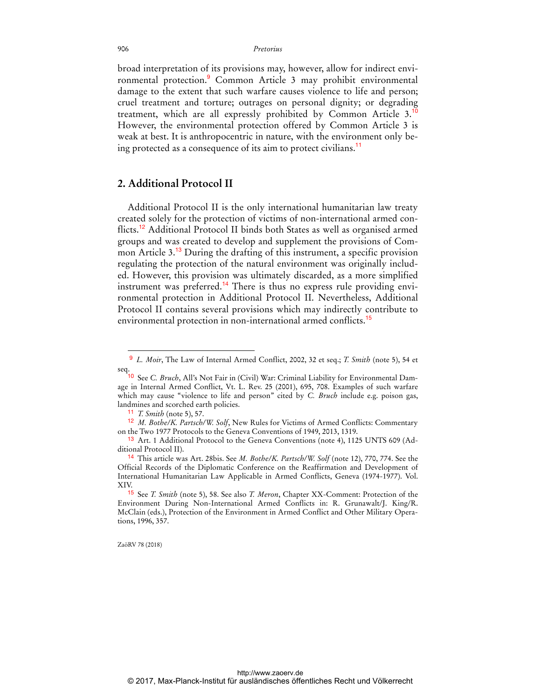broad interpretation of its provisions may, however, allow for indirect environmental protection.<sup>9</sup> Common Article 3 may prohibit environmental damage to the extent that such warfare causes violence to life and person; cruel treatment and torture; outrages on personal dignity; or degrading treatment, which are all expressly prohibited by Common Article 3.<sup>10</sup> However, the environmental protection offered by Common Article 3 is weak at best. It is anthropocentric in nature, with the environment only being protected as a consequence of its aim to protect civilians.<sup>11</sup>

## **2. Additional Protocol II**

Additional Protocol II is the only international humanitarian law treaty created solely for the protection of victims of non-international armed conflicts.<sup>12</sup> Additional Protocol II binds both States as well as organised armed groups and was created to develop and supplement the provisions of Common Article 3.<sup>13</sup> During the drafting of this instrument, a specific provision regulating the protection of the natural environment was originally included. However, this provision was ultimately discarded, as a more simplified instrument was preferred.<sup>14</sup> There is thus no express rule providing environmental protection in Additional Protocol II. Nevertheless, Additional Protocol II contains several provisions which may indirectly contribute to environmental protection in non-international armed conflicts.<sup>15</sup>

 $\overline{a}$ 

<sup>9</sup> *L. Moir*, The Law of Internal Armed Conflict, 2002, 32 et seq.; *T. Smith* (note 5), 54 et seq.

<sup>10</sup> See *C. Bruch*, All's Not Fair in (Civil) War: Criminal Liability for Environmental Damage in Internal Armed Conflict, Vt. L. Rev. 25 (2001), 695, 708. Examples of such warfare which may cause "violence to life and person" cited by *C. Bruch* include e.g. poison gas, landmines and scorched earth policies.

<sup>11</sup> *T. Smith* (note 5), 57.

<sup>12</sup> *M. Bothe/K. Partsch/W. Solf*, New Rules for Victims of Armed Conflicts: Commentary on the Two 1977 Protocols to the Geneva Conventions of 1949, 2013, 1319.

<sup>&</sup>lt;sup>13</sup> Art. 1 Additional Protocol to the Geneva Conventions (note 4), 1125 UNTS 609 (Additional Protocol II).

<sup>14</sup> This article was Art. 28bis. See *M. Bothe/K. Partsch/W. Solf* (note 12), 770, 774. See the Official Records of the Diplomatic Conference on the Reaffirmation and Development of International Humanitarian Law Applicable in Armed Conflicts, Geneva (1974-1977). Vol. XIV.

<sup>15</sup> See *T. Smith* (note 5), 58. See also *T. Meron*, Chapter XX-Comment: Protection of the Environment During Non-International Armed Conflicts in: R. Grunawalt/J. King/R. McClain (eds.), Protection of the Environment in Armed Conflict and Other Military Operations, 1996, 357.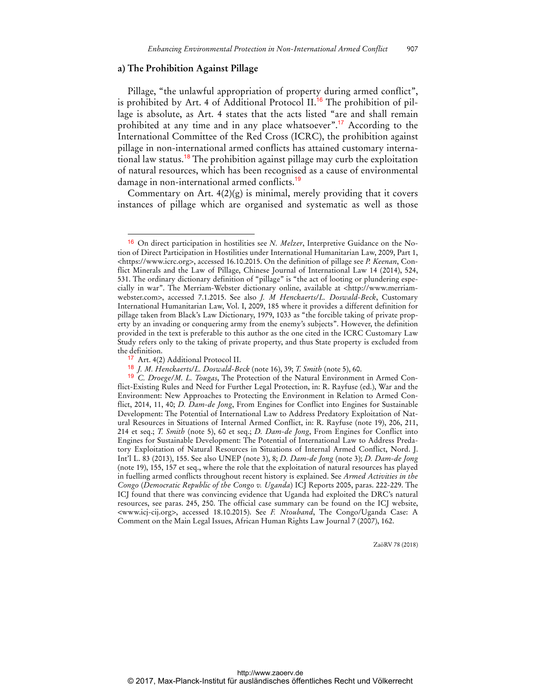### **a) The Prohibition Against Pillage**

Pillage, "the unlawful appropriation of property during armed conflict", is prohibited by Art. 4 of Additional Protocol II.<sup>16</sup> The prohibition of pillage is absolute, as Art. 4 states that the acts listed "are and shall remain prohibited at any time and in any place whatsoever".<sup>17</sup> According to the International Committee of the Red Cross (ICRC), the prohibition against pillage in non-international armed conflicts has attained customary international law status.<sup>18</sup> The prohibition against pillage may curb the exploitation of natural resources, which has been recognised as a cause of environmental damage in non-international armed conflicts.<sup>19</sup>

Commentary on Art. 4(2)(g) is minimal, merely providing that it covers instances of pillage which are organised and systematic as well as those

 $\ddot{ }$ 

<sup>16</sup> On direct participation in hostilities see *N. Melzer*, Interpretive Guidance on the Notion of Direct Participation in Hostilities under International Humanitarian Law, 2009, Part 1, <https://www.icrc.org>, accessed 16.10.2015. On the definition of pillage see *P. Keenan*, Conflict Minerals and the Law of Pillage, Chinese Journal of International Law 14 (2014), 524, 531. The ordinary dictionary definition of "pillage" is "the act of looting or plundering especially in war". The Merriam-Webster dictionary online, available at <http://www.merriamwebster.com>, accessed 7.1.2015. See also *J. M Henckaerts/L. Doswald-Beck*, Customary International Humanitarian Law, Vol. I, 2009, 185 where it provides a different definition for pillage taken from Black's Law Dictionary, 1979, 1033 as "the forcible taking of private property by an invading or conquering army from the enemy's subjects". However, the definition provided in the text is preferable to this author as the one cited in the ICRC Customary Law Study refers only to the taking of private property, and thus State property is excluded from the definition.

<sup>&</sup>lt;sup>17</sup> Art. 4(2) Additional Protocol II.

<sup>18</sup> *J. M. Henckaerts/L. Doswald-Beck* (note 16), 39; *T. Smith* (note 5), 60.

<sup>19</sup> *C. Droege/M. L. Tougas*, The Protection of the Natural Environment in Armed Conflict-Existing Rules and Need for Further Legal Protection, in: R. Rayfuse (ed.), War and the Environment: New Approaches to Protecting the Environment in Relation to Armed Conflict, 2014, 11, 40; *D. Dam-de Jong*, From Engines for Conflict into Engines for Sustainable Development: The Potential of International Law to Address Predatory Exploitation of Natural Resources in Situations of Internal Armed Conflict, in: R. Rayfuse (note 19), 206, 211, 214 et seq.; *T. Smith* (note 5), 60 et seq.; *D. Dam-de Jong*, From Engines for Conflict into Engines for Sustainable Development: The Potential of International Law to Address Predatory Exploitation of Natural Resources in Situations of Internal Armed Conflict, Nord. J. Int'l L. 83 (2013), 155. See also UNEP (note 3), 8; *D. Dam-de Jong* (note 3); *D. Dam-de Jong* (note 19), 155, 157 et seq., where the role that the exploitation of natural resources has played in fuelling armed conflicts throughout recent history is explained. See *Armed Activities in the Congo* (*Democratic Republic of the Congo v. Uganda*) ICJ Reports 2005, paras. 222-229. The ICJ found that there was convincing evidence that Uganda had exploited the DRC's natural resources, see paras. 245, 250. The official case summary can be found on the ICJ website, <www.icj-cij.org>, accessed 18.10.2015). See *F. Ntouband*, The Congo/Uganda Case: A Comment on the Main Legal Issues, African Human Rights Law Journal 7 (2007), 162.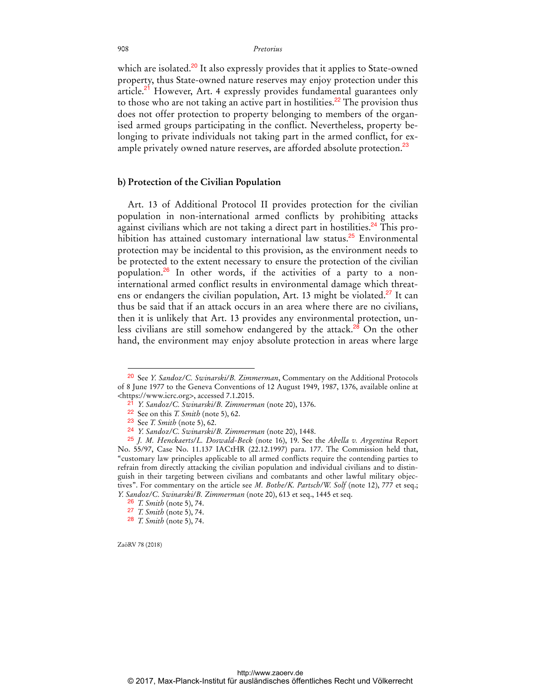which are isolated.<sup>20</sup> It also expressly provides that it applies to State-owned property, thus State-owned nature reserves may enjoy protection under this article.<sup>21</sup> However, Art. 4 expressly provides fundamental guarantees only to those who are not taking an active part in hostilities.<sup>22</sup> The provision thus does not offer protection to property belonging to members of the organised armed groups participating in the conflict. Nevertheless, property belonging to private individuals not taking part in the armed conflict, for example privately owned nature reserves, are afforded absolute protection.<sup>23</sup>

### **b) Protection of the Civilian Population**

Art. 13 of Additional Protocol II provides protection for the civilian population in non-international armed conflicts by prohibiting attacks against civilians which are not taking a direct part in hostilities.<sup>24</sup> This prohibition has attained customary international law status.<sup>25</sup> Environmental protection may be incidental to this provision, as the environment needs to be protected to the extent necessary to ensure the protection of the civilian population.26 In other words, if the activities of a party to a noninternational armed conflict results in environmental damage which threatens or endangers the civilian population, Art. 13 might be violated.<sup>27</sup> It can thus be said that if an attack occurs in an area where there are no civilians, then it is unlikely that Art. 13 provides any environmental protection, unless civilians are still somehow endangered by the attack.<sup>28</sup> On the other hand, the environment may enjoy absolute protection in areas where large

ZaöRV 78 (2018)

<sup>20</sup> See *Y. Sandoz/C. Swinarski/B. Zimmerman*, Commentary on the Additional Protocols of 8 June 1977 to the Geneva Conventions of 12 August 1949, 1987, 1376, available online at <https://www.icrc.org>, accessed 7.1.2015.

<sup>21</sup> *Y. Sandoz/C. Swinarski/B. Zimmerman* (note 20), 1376.

<sup>22</sup> See on this *T. Smith* (note 5), 62.

<sup>23</sup> See *T. Smith* (note 5), 62.

<sup>24</sup> *Y. Sandoz/C. Swinarski/B. Zimmerman* (note 20), 1448.

<sup>25</sup> *J. M. Henckaerts/L. Doswald-Beck* (note 16), 19. See the *Abella v. Argentina* Report No. 55/97, Case No. 11.137 IACtHR (22.12.1997) para. 177. The Commission held that, "customary law principles applicable to all armed conflicts require the contending parties to refrain from directly attacking the civilian population and individual civilians and to distinguish in their targeting between civilians and combatants and other lawful military objectives". For commentary on the article see *M. Bothe/K. Partsch/W. Solf* (note 12), 777 et seq.; *Y. Sandoz/C. Swinarski/B. Zimmerman* (note 20), 613 et seq., 1445 et seq.

<sup>26</sup> *T. Smith* (note 5), 74.

<sup>27</sup> *T. Smith* (note 5), 74.

<sup>28</sup> *T. Smith* (note 5), 74.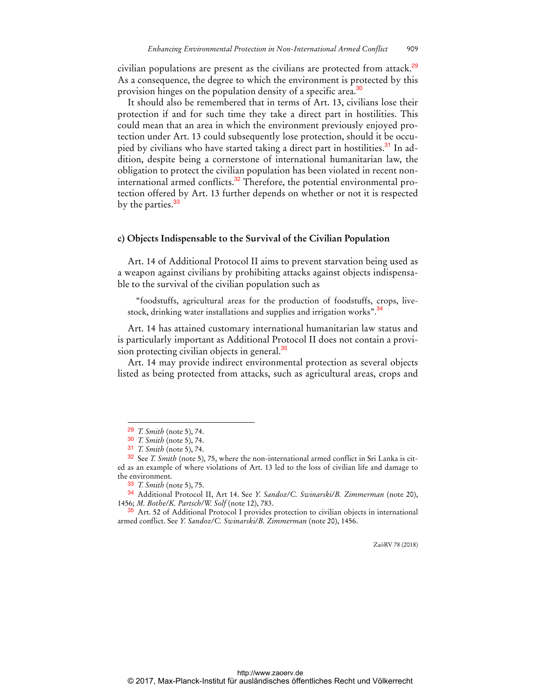civilian populations are present as the civilians are protected from attack.<sup>29</sup> As a consequence, the degree to which the environment is protected by this provision hinges on the population density of a specific area.<sup>30</sup>

It should also be remembered that in terms of Art. 13, civilians lose their protection if and for such time they take a direct part in hostilities. This could mean that an area in which the environment previously enjoyed protection under Art. 13 could subsequently lose protection, should it be occupied by civilians who have started taking a direct part in hostilities.<sup>31</sup> In addition, despite being a cornerstone of international humanitarian law, the obligation to protect the civilian population has been violated in recent noninternational armed conflicts.<sup>32</sup> Therefore, the potential environmental protection offered by Art. 13 further depends on whether or not it is respected by the parties.<sup>33</sup>

#### **c) Objects Indispensable to the Survival of the Civilian Population**

Art. 14 of Additional Protocol II aims to prevent starvation being used as a weapon against civilians by prohibiting attacks against objects indispensable to the survival of the civilian population such as

"foodstuffs, agricultural areas for the production of foodstuffs, crops, livestock, drinking water installations and supplies and irrigation works".<sup>34</sup>

Art. 14 has attained customary international humanitarian law status and is particularly important as Additional Protocol II does not contain a provision protecting civilian objects in general.<sup>35</sup>

Art. 14 may provide indirect environmental protection as several objects listed as being protected from attacks, such as agricultural areas, crops and

 $\overline{a}$ 

34 Additional Protocol II, Art 14. See *Y. Sandoz/C. Swinarski/B. Zimmerman* (note 20), 1456; *M. Bothe/K. Partsch/W. Solf* (note 12), 783.

<sup>35</sup> Art. 52 of Additional Protocol I provides protection to civilian objects in international armed conflict. See *Y. Sandoz/C. Swinarski/B. Zimmerman* (note 20), 1456.

<sup>29</sup> *T. Smith* (note 5), 74.

<sup>30</sup> *T. Smith* (note 5), 74.

<sup>31</sup> *T. Smith* (note 5), 74.

<sup>32</sup> See *T. Smith* (note 5), 75, where the non-international armed conflict in Sri Lanka is cited as an example of where violations of Art. 13 led to the loss of civilian life and damage to the environment.

<sup>33</sup> *T. Smith* (note 5), 75.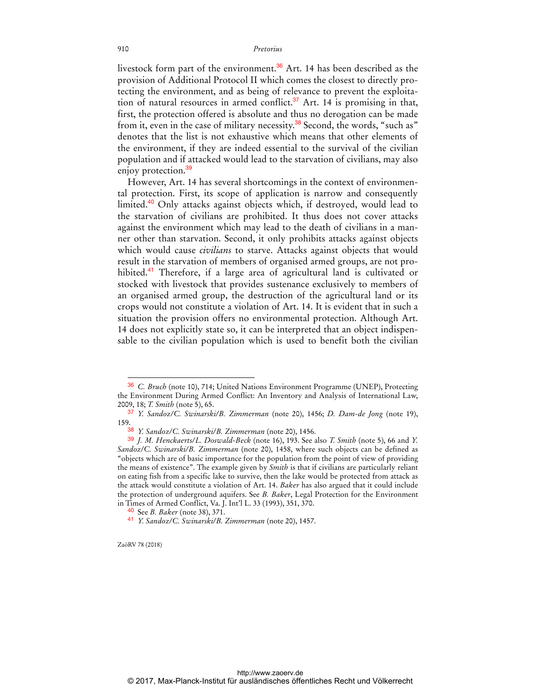livestock form part of the environment.<sup>36</sup> Art. 14 has been described as the provision of Additional Protocol II which comes the closest to directly protecting the environment, and as being of relevance to prevent the exploitation of natural resources in armed conflict. $37$  Art. 14 is promising in that, first, the protection offered is absolute and thus no derogation can be made from it, even in the case of military necessity.<sup>38</sup> Second, the words, "such as" denotes that the list is not exhaustive which means that other elements of the environment, if they are indeed essential to the survival of the civilian population and if attacked would lead to the starvation of civilians, may also enjoy protection.<sup>39</sup>

However, Art. 14 has several shortcomings in the context of environmental protection. First, its scope of application is narrow and consequently limited.<sup>40</sup> Only attacks against objects which, if destroyed, would lead to the starvation of civilians are prohibited. It thus does not cover attacks against the environment which may lead to the death of civilians in a manner other than starvation. Second, it only prohibits attacks against objects which would cause *civilians* to starve. Attacks against objects that would result in the starvation of members of organised armed groups, are not prohibited.<sup>41</sup> Therefore, if a large area of agricultural land is cultivated or stocked with livestock that provides sustenance exclusively to members of an organised armed group, the destruction of the agricultural land or its crops would not constitute a violation of Art. 14. It is evident that in such a situation the provision offers no environmental protection. Although Art. 14 does not explicitly state so, it can be interpreted that an object indispensable to the civilian population which is used to benefit both the civilian

ZaöRV 78 (2018)

<sup>36</sup> *C. Bruch* (note 10), 714; United Nations Environment Programme (UNEP), Protecting the Environment During Armed Conflict: An Inventory and Analysis of International Law, 2009, 18; *T. Smith* (note 5), 65.

<sup>37</sup> *Y. Sandoz/C. Swinarski/B. Zimmerman* (note 20), 1456; *D. Dam-de Jong* (note 19), 159.

<sup>38</sup> *Y. Sandoz/C. Swinarski/B. Zimmerman* (note 20), 1456.

<sup>39</sup> *J. M. Henckaerts/L. Doswald-Beck* (note 16), 193. See also *T. Smith* (note 5), 66 and *Y. Sandoz/C. Swinarski/B. Zimmerman* (note 20), 1458, where such objects can be defined as "objects which are of basic importance for the population from the point of view of providing the means of existence". The example given by *Smith* is that if civilians are particularly reliant on eating fish from a specific lake to survive, then the lake would be protected from attack as the attack would constitute a violation of Art. 14. *Baker* has also argued that it could include the protection of underground aquifers. See *B. Baker*, Legal Protection for the Environment in Times of Armed Conflict, Va. J. Int'l L. 33 (1993), 351, 370.

<sup>40</sup> See *B. Baker* (note 38), 371.

<sup>41</sup> *Y. Sandoz/C. Swinarski/B. Zimmerman* (note 20), 1457.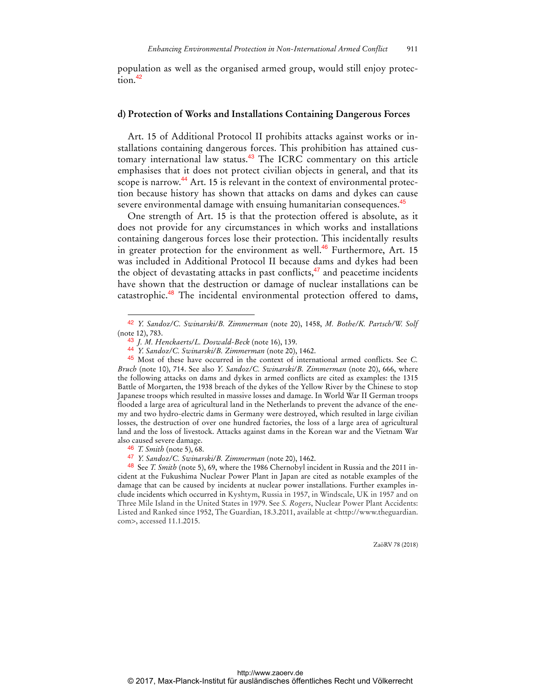population as well as the organised armed group, would still enjoy protec $t$ <sub>ion</sub> $42$ 

### **d) Protection of Works and Installations Containing Dangerous Forces**

Art. 15 of Additional Protocol II prohibits attacks against works or installations containing dangerous forces. This prohibition has attained customary international law status.<sup>43</sup> The ICRC commentary on this article emphasises that it does not protect civilian objects in general, and that its scope is narrow.<sup>44</sup> Art. 15 is relevant in the context of environmental protection because history has shown that attacks on dams and dykes can cause severe environmental damage with ensuing humanitarian consequences.<sup>45</sup>

One strength of Art. 15 is that the protection offered is absolute, as it does not provide for any circumstances in which works and installations containing dangerous forces lose their protection. This incidentally results in greater protection for the environment as well.<sup>46</sup> Furthermore, Art. 15 was included in Additional Protocol II because dams and dykes had been the object of devastating attacks in past conflicts, $47$  and peacetime incidents have shown that the destruction or damage of nuclear installations can be catastrophic.<sup>48</sup> The incidental environmental protection offered to dams,

 $\overline{a}$ 

48 See *T. Smith* (note 5), 69, where the 1986 Chernobyl incident in Russia and the 2011 incident at the Fukushima Nuclear Power Plant in Japan are cited as notable examples of the damage that can be caused by incidents at nuclear power installations. Further examples include incidents which occurred in Kyshtym, Russia in 1957, in Windscale, UK in 1957 and on Three Mile Island in the United States in 1979. See *S. Rogers*, Nuclear Power Plant Accidents: Listed and Ranked since 1952, The Guardian, 18.3.2011, available at <http://www.theguardian. com>, accessed 11.1.2015.

<sup>42</sup> *Y. Sandoz/C. Swinarski/B. Zimmerman* (note 20), 1458, *M. Bothe/K. Partsch/W. Solf* (note 12), 783.

<sup>43</sup> *J. M. Henckaerts/L. Doswald-Beck* (note 16), 139.

<sup>44</sup> *Y. Sandoz/C. Swinarski/B. Zimmerman* (note 20), 1462.

<sup>45</sup> Most of these have occurred in the context of international armed conflicts. See *C. Bruch* (note 10), 714. See also *Y. Sandoz/C. Swinarski/B. Zimmerman* (note 20), 666, where the following attacks on dams and dykes in armed conflicts are cited as examples: the 1315 Battle of Morgarten, the 1938 breach of the dykes of the Yellow River by the Chinese to stop Japanese troops which resulted in massive losses and damage. In World War II German troops flooded a large area of agricultural land in the Netherlands to prevent the advance of the enemy and two hydro-electric dams in Germany were destroyed, which resulted in large civilian losses, the destruction of over one hundred factories, the loss of a large area of agricultural land and the loss of livestock. Attacks against dams in the Korean war and the Vietnam War also caused severe damage.

<sup>46</sup> *T. Smith* (note 5), 68.

<sup>47</sup> *Y. Sandoz/C. Swinarski/B. Zimmerman* (note 20), 1462.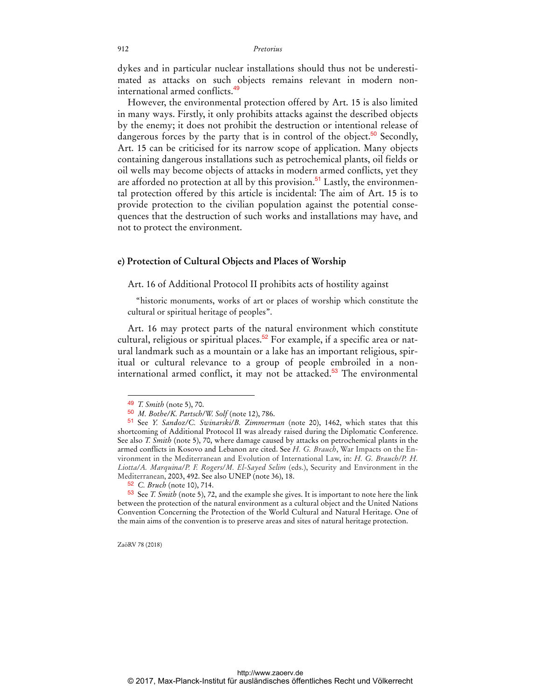dykes and in particular nuclear installations should thus not be underestimated as attacks on such objects remains relevant in modern noninternational armed conflicts.<sup>49</sup>

However, the environmental protection offered by Art. 15 is also limited in many ways. Firstly, it only prohibits attacks against the described objects by the enemy; it does not prohibit the destruction or intentional release of dangerous forces by the party that is in control of the object.<sup>50</sup> Secondly, Art. 15 can be criticised for its narrow scope of application. Many objects containing dangerous installations such as petrochemical plants, oil fields or oil wells may become objects of attacks in modern armed conflicts, yet they are afforded no protection at all by this provision.<sup>51</sup> Lastly, the environmental protection offered by this article is incidental: The aim of Art. 15 is to provide protection to the civilian population against the potential consequences that the destruction of such works and installations may have, and not to protect the environment.

### **e) Protection of Cultural Objects and Places of Worship**

Art. 16 of Additional Protocol II prohibits acts of hostility against

"historic monuments, works of art or places of worship which constitute the cultural or spiritual heritage of peoples".

Art. 16 may protect parts of the natural environment which constitute cultural, religious or spiritual places.<sup>52</sup> For example, if a specific area or natural landmark such as a mountain or a lake has an important religious, spiritual or cultural relevance to a group of people embroiled in a noninternational armed conflict, it may not be attacked.<sup>53</sup> The environmental

 $\overline{a}$ 

53 See *T. Smith* (note 5), 72, and the example she gives. It is important to note here the link between the protection of the natural environment as a cultural object and the United Nations Convention Concerning the Protection of the World Cultural and Natural Heritage. One of the main aims of the convention is to preserve areas and sites of natural heritage protection.

<sup>49</sup> *T. Smith* (note 5), 70.

<sup>50</sup> *M. Bothe/K. Partsch/W. Solf* (note 12), 786.

<sup>51</sup> See *Y. Sandoz/C. Swinarski/B. Zimmerman* (note 20), 1462, which states that this shortcoming of Additional Protocol II was already raised during the Diplomatic Conference. See also *T. Smith* (note 5), 70, where damage caused by attacks on petrochemical plants in the armed conflicts in Kosovo and Lebanon are cited. See *H. G. Brauch*, War Impacts on the Environment in the Mediterranean and Evolution of International Law, in: *H. G. Brauch/P. H. Liotta/A. Marquina/P. F. Rogers/M. El-Sayed Selim* (eds.), Security and Environment in the Mediterranean, 2003, 492. See also UNEP (note 36), 18.

<sup>52</sup> *C. Bruch* (note 10), 714.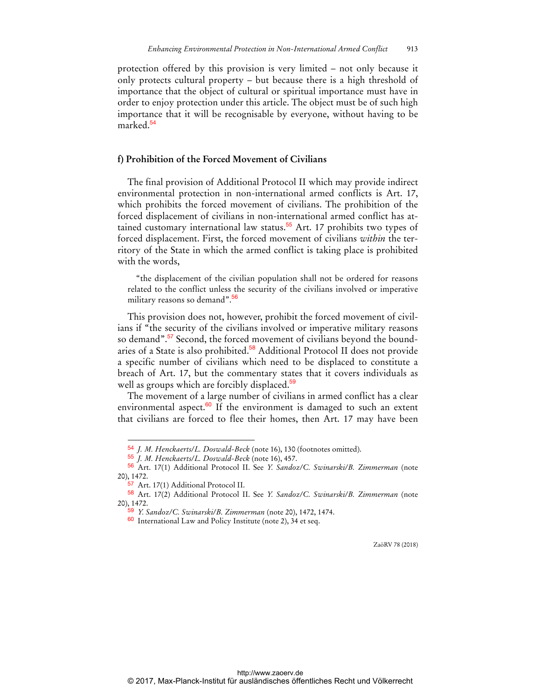protection offered by this provision is very limited – not only because it only protects cultural property – but because there is a high threshold of importance that the object of cultural or spiritual importance must have in order to enjoy protection under this article. The object must be of such high importance that it will be recognisable by everyone, without having to be marked.<sup>54</sup>

### **f) Prohibition of the Forced Movement of Civilians**

The final provision of Additional Protocol II which may provide indirect environmental protection in non-international armed conflicts is Art. 17, which prohibits the forced movement of civilians. The prohibition of the forced displacement of civilians in non-international armed conflict has attained customary international law status.<sup>55</sup> Art. 17 prohibits two types of forced displacement. First, the forced movement of civilians *within* the territory of the State in which the armed conflict is taking place is prohibited with the words,

"the displacement of the civilian population shall not be ordered for reasons related to the conflict unless the security of the civilians involved or imperative military reasons so demand".<sup>56</sup>

This provision does not, however, prohibit the forced movement of civilians if "the security of the civilians involved or imperative military reasons so demand".<sup>57</sup> Second, the forced movement of civilians beyond the boundaries of a State is also prohibited.<sup>58</sup> Additional Protocol II does not provide a specific number of civilians which need to be displaced to constitute a breach of Art. 17, but the commentary states that it covers individuals as well as groups which are forcibly displaced.<sup>59</sup>

The movement of a large number of civilians in armed conflict has a clear environmental aspect. $60$  If the environment is damaged to such an extent that civilians are forced to flee their homes, then Art. 17 may have been

 $\overline{a}$ 

<sup>54</sup> *J. M. Henckaerts/L. Doswald-Beck* (note 16), 130 (footnotes omitted).

<sup>55</sup> *J. M. Henckaerts/L. Doswald-Beck* (note 16), 457.

<sup>56</sup> Art. 17(1) Additional Protocol II. See *Y. Sandoz/C. Swinarski/B. Zimmerman* (note 20), 1472.

<sup>&</sup>lt;sup>57</sup> Art. 17(1) Additional Protocol II.

<sup>58</sup> Art. 17(2) Additional Protocol II. See *Y. Sandoz/C. Swinarski/B. Zimmerman* (note 20), 1472.

<sup>59</sup> *Y. Sandoz/C. Swinarski/B. Zimmerman* (note 20), 1472, 1474.

<sup>60</sup> International Law and Policy Institute (note 2), 34 et seq.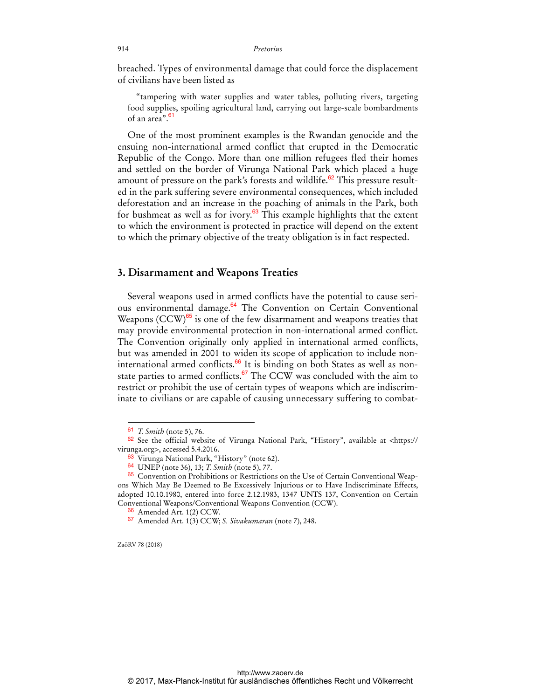breached. Types of environmental damage that could force the displacement of civilians have been listed as

"tampering with water supplies and water tables, polluting rivers, targeting food supplies, spoiling agricultural land, carrying out large-scale bombardments of an area".<sup>61</sup>

One of the most prominent examples is the Rwandan genocide and the ensuing non-international armed conflict that erupted in the Democratic Republic of the Congo. More than one million refugees fled their homes and settled on the border of Virunga National Park which placed a huge amount of pressure on the park's forests and wildlife. $62$  This pressure resulted in the park suffering severe environmental consequences, which included deforestation and an increase in the poaching of animals in the Park, both for bushmeat as well as for ivory. $63$  This example highlights that the extent to which the environment is protected in practice will depend on the extent to which the primary objective of the treaty obligation is in fact respected.

### **3. Disarmament and Weapons Treaties**

Several weapons used in armed conflicts have the potential to cause serious environmental damage.<sup>64</sup> The Convention on Certain Conventional Weapons  $(CCW)^{65}$  is one of the few disarmament and weapons treaties that may provide environmental protection in non-international armed conflict. The Convention originally only applied in international armed conflicts, but was amended in 2001 to widen its scope of application to include noninternational armed conflicts.<sup>66</sup> It is binding on both States as well as nonstate parties to armed conflicts.<sup>67</sup> The CCW was concluded with the aim to restrict or prohibit the use of certain types of weapons which are indiscriminate to civilians or are capable of causing unnecessary suffering to combat-

ZaöRV 78 (2018)

<sup>61</sup> *T. Smith* (note 5), 76.

 $62$  See the official website of Virunga National Park, "History", available at <https:// virunga.org>, accessed 5.4.2016.

<sup>63</sup> Virunga National Park, "History" (note 62).

<sup>64</sup> UNEP (note 36), 13; *T. Smith* (note 5), 77.

<sup>65</sup> Convention on Prohibitions or Restrictions on the Use of Certain Conventional Weapons Which May Be Deemed to Be Excessively Injurious or to Have Indiscriminate Effects, adopted 10.10.1980, entered into force 2.12.1983, 1347 UNTS 137, Convention on Certain Conventional Weapons/Conventional Weapons Convention (CCW).

<sup>66</sup> Amended Art. 1(2) CCW.

<sup>67</sup> Amended Art. 1(3) CCW; *S. Sivakumaran* (note 7), 248.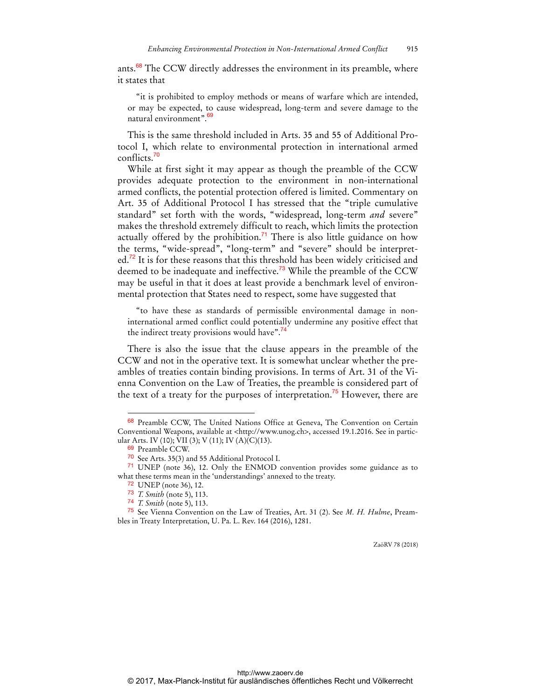ants.<sup>68</sup> The CCW directly addresses the environment in its preamble, where it states that

"it is prohibited to employ methods or means of warfare which are intended, or may be expected, to cause widespread, long-term and severe damage to the natural environment".<sup>69</sup>

This is the same threshold included in Arts. 35 and 55 of Additional Protocol I, which relate to environmental protection in international armed conflicts.<sup>70</sup>

While at first sight it may appear as though the preamble of the CCW provides adequate protection to the environment in non-international armed conflicts, the potential protection offered is limited. Commentary on Art. 35 of Additional Protocol I has stressed that the "triple cumulative standard" set forth with the words, "widespread, long-term *and* severe" makes the threshold extremely difficult to reach, which limits the protection actually offered by the prohibition.<sup>71</sup> There is also little guidance on how the terms, "wide-spread", "long-term" and "severe" should be interpret $ed.<sup>72</sup>$  It is for these reasons that this threshold has been widely criticised and deemed to be inadequate and ineffective.<sup>73</sup> While the preamble of the CCW may be useful in that it does at least provide a benchmark level of environmental protection that States need to respect, some have suggested that

"to have these as standards of permissible environmental damage in noninternational armed conflict could potentially undermine any positive effect that the indirect treaty provisions would have".<sup>74</sup>

There is also the issue that the clause appears in the preamble of the CCW and not in the operative text. It is somewhat unclear whether the preambles of treaties contain binding provisions. In terms of Art. 31 of the Vienna Convention on the Law of Treaties, the preamble is considered part of the text of a treaty for the purposes of interpretation.<sup>75</sup> However, there are

 $\overline{a}$ 

<sup>68</sup> Preamble CCW, The United Nations Office at Geneva, The Convention on Certain Conventional Weapons, available at <http://www.unog.ch>, accessed 19.1.2016. See in particular Arts. IV (10); VII (3); V (11); IV (A)(C)(13).

<sup>69</sup> Preamble CCW.

<sup>70</sup> See Arts. 35(3) and 55 Additional Protocol I.

<sup>71</sup> UNEP (note 36), 12. Only the ENMOD convention provides some guidance as to what these terms mean in the 'understandings' annexed to the treaty.

<sup>72</sup> UNEP (note 36), 12.

<sup>73</sup> *T. Smith* (note 5), 113.

<sup>74</sup> *T. Smith* (note 5), 113.

<sup>75</sup> See Vienna Convention on the Law of Treaties, Art. 31 (2). See *M. H. Hulme*, Preambles in Treaty Interpretation, U. Pa. L. Rev. 164 (2016), 1281.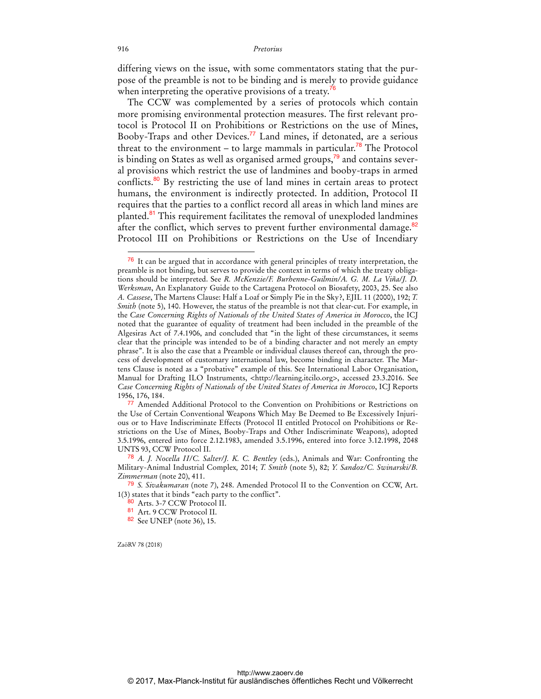differing views on the issue, with some commentators stating that the purpose of the preamble is not to be binding and is merely to provide guidance when interpreting the operative provisions of a treaty.<sup>76</sup>

The CCW was complemented by a series of protocols which contain more promising environmental protection measures. The first relevant protocol is Protocol II on Prohibitions or Restrictions on the use of Mines, Booby-Traps and other Devices.<sup>77</sup> Land mines, if detonated, are a serious threat to the environment – to large mammals in particular.<sup>78</sup> The Protocol is binding on States as well as organised armed groups, $\frac{79}{9}$  and contains several provisions which restrict the use of landmines and booby-traps in armed conflicts.<sup>80</sup> By restricting the use of land mines in certain areas to protect humans, the environment is indirectly protected. In addition, Protocol II requires that the parties to a conflict record all areas in which land mines are planted.<sup>81</sup> This requirement facilitates the removal of unexploded landmines after the conflict, which serves to prevent further environmental damage.<sup>82</sup> Protocol III on Prohibitions or Restrictions on the Use of Incendiary

ZaöRV 78 (2018)

<sup>76</sup> It can be argued that in accordance with general principles of treaty interpretation, the preamble is not binding, but serves to provide the context in terms of which the treaty obligations should be interpreted. See *R. McKenzie/F. Burhenne-Guilmin/A. G. M. La Viña/J. D. Werksman*, An Explanatory Guide to the Cartagena Protocol on Biosafety, 2003, 25. See also *A. Cassese*, The Martens Clause: Half a Loaf or Simply Pie in the Sky?, EJIL 11 (2000), 192; *T. Smith* (note 5), 140. However, the status of the preamble is not that clear-cut. For example, in the *Case Concerning Rights of Nationals of the United States of America in Morocco*, the ICJ noted that the guarantee of equality of treatment had been included in the preamble of the Algesiras Act of 7.4.1906, and concluded that "in the light of these circumstances, it seems clear that the principle was intended to be of a binding character and not merely an empty phrase". It is also the case that a Preamble or individual clauses thereof can, through the process of development of customary international law, become binding in character. The Martens Clause is noted as a "probative" example of this. See International Labor Organisation, Manual for Drafting ILO Instruments, <http://learning.itcilo.org>, accessed 23.3.2016. See *Case Concerning Rights of Nationals of the United States of America in Morocco*, ICJ Reports 1956, 176, 184.

<sup>77</sup> Amended Additional Protocol to the Convention on Prohibitions or Restrictions on the Use of Certain Conventional Weapons Which May Be Deemed to Be Excessively Injurious or to Have Indiscriminate Effects (Protocol II entitled Protocol on Prohibitions or Restrictions on the Use of Mines, Booby-Traps and Other Indiscriminate Weapons), adopted 3.5.1996, entered into force 2.12.1983, amended 3.5.1996, entered into force 3.12.1998, 2048 UNTS 93, CCW Protocol II.

<sup>78</sup> *A. J. Nocella II/C. Salter/J. K. C. Bentley* (eds.), Animals and War: Confronting the Military-Animal Industrial Complex*,* 2014; *T. Smith* (note 5), 82; *Y. Sandoz/C. Swinarski/B. Zimmerman* (note 20), 411.

<sup>79</sup> *S. Sivakumaran* (note 7), 248. Amended Protocol II to the Convention on CCW, Art. 1(3) states that it binds "each party to the conflict".

<sup>80</sup> Arts. 3-7 CCW Protocol II.

<sup>81</sup> Art. 9 CCW Protocol II.

<sup>82</sup> See UNEP (note 36), 15.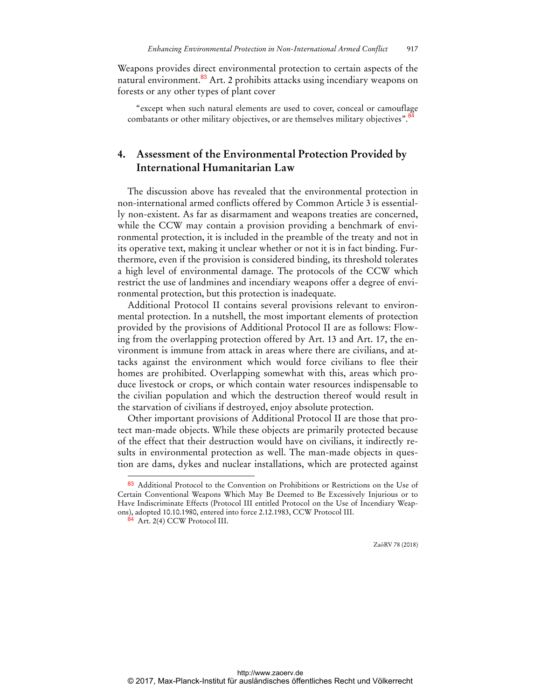Weapons provides direct environmental protection to certain aspects of the natural environment.<sup>83</sup> Art. 2 prohibits attacks using incendiary weapons on forests or any other types of plant cover

"except when such natural elements are used to cover, conceal or camouflage combatants or other military objectives, or are themselves military objectives".<sup>8</sup>

# **4. Assessment of the Environmental Protection Provided by International Humanitarian Law**

The discussion above has revealed that the environmental protection in non-international armed conflicts offered by Common Article 3 is essentially non-existent. As far as disarmament and weapons treaties are concerned, while the CCW may contain a provision providing a benchmark of environmental protection, it is included in the preamble of the treaty and not in its operative text, making it unclear whether or not it is in fact binding. Furthermore, even if the provision is considered binding, its threshold tolerates a high level of environmental damage. The protocols of the CCW which restrict the use of landmines and incendiary weapons offer a degree of environmental protection, but this protection is inadequate.

Additional Protocol II contains several provisions relevant to environmental protection. In a nutshell, the most important elements of protection provided by the provisions of Additional Protocol II are as follows: Flowing from the overlapping protection offered by Art. 13 and Art. 17, the environment is immune from attack in areas where there are civilians, and attacks against the environment which would force civilians to flee their homes are prohibited. Overlapping somewhat with this, areas which produce livestock or crops, or which contain water resources indispensable to the civilian population and which the destruction thereof would result in the starvation of civilians if destroyed, enjoy absolute protection.

Other important provisions of Additional Protocol II are those that protect man-made objects. While these objects are primarily protected because of the effect that their destruction would have on civilians, it indirectly results in environmental protection as well. The man-made objects in question are dams, dykes and nuclear installations, which are protected against

 $\overline{a}$ 

<sup>83</sup> Additional Protocol to the Convention on Prohibitions or Restrictions on the Use of Certain Conventional Weapons Which May Be Deemed to Be Excessively Injurious or to Have Indiscriminate Effects (Protocol III entitled Protocol on the Use of Incendiary Weapons), adopted 10.10.1980, entered into force 2.12.1983, CCW Protocol III.

<sup>84</sup> Art. 2(4) CCW Protocol III.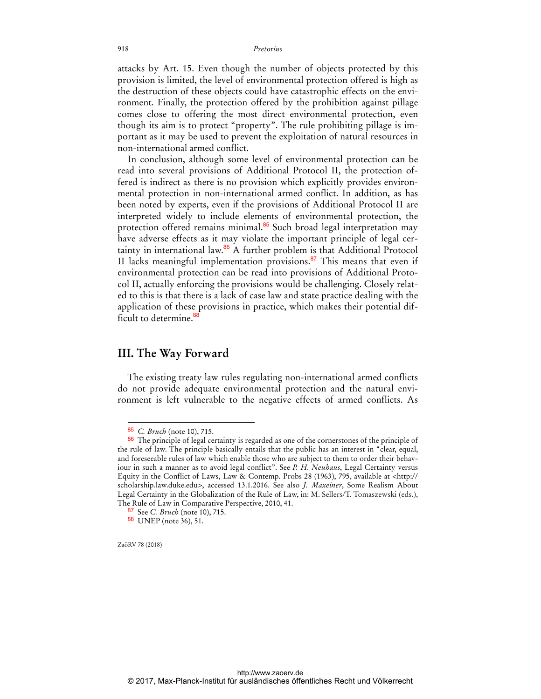attacks by Art. 15. Even though the number of objects protected by this provision is limited, the level of environmental protection offered is high as the destruction of these objects could have catastrophic effects on the environment. Finally, the protection offered by the prohibition against pillage comes close to offering the most direct environmental protection, even though its aim is to protect "property". The rule prohibiting pillage is important as it may be used to prevent the exploitation of natural resources in non-international armed conflict.

In conclusion, although some level of environmental protection can be read into several provisions of Additional Protocol II, the protection offered is indirect as there is no provision which explicitly provides environmental protection in non-international armed conflict. In addition, as has been noted by experts, even if the provisions of Additional Protocol II are interpreted widely to include elements of environmental protection, the protection offered remains minimal.<sup>85</sup> Such broad legal interpretation may have adverse effects as it may violate the important principle of legal certainty in international law.<sup>86</sup> A further problem is that Additional Protocol II lacks meaningful implementation provisions.<sup>87</sup> This means that even if environmental protection can be read into provisions of Additional Protocol II, actually enforcing the provisions would be challenging. Closely related to this is that there is a lack of case law and state practice dealing with the application of these provisions in practice, which makes their potential difficult to determine.<sup>88</sup>

# **III. The Way Forward**

The existing treaty law rules regulating non-international armed conflicts do not provide adequate environmental protection and the natural environment is left vulnerable to the negative effects of armed conflicts. As

ZaöRV 78 (2018)

<sup>85</sup> *C. Bruch* (note 10), 715.

<sup>&</sup>lt;sup>86</sup> The principle of legal certainty is regarded as one of the cornerstones of the principle of the rule of law. The principle basically entails that the public has an interest in "clear, equal, and foreseeable rules of law which enable those who are subject to them to order their behaviour in such a manner as to avoid legal conflict". See *P. H. Neuhaus*, Legal Certainty versus Equity in the Conflict of Laws, Law & Contemp. Probs 28 (1963), 795, available at <http:// scholarship.law.duke.edu>, accessed 13.1.2016. See also *J. Maxeiner*, Some Realism About Legal Certainty in the Globalization of the Rule of Law, in: M. Sellers/T. Tomaszewski (eds.), The Rule of Law in Comparative Perspective, 2010, 41.

<sup>87</sup> See *C. Bruch* (note 10), 715.

<sup>88</sup> UNEP (note 36), 51.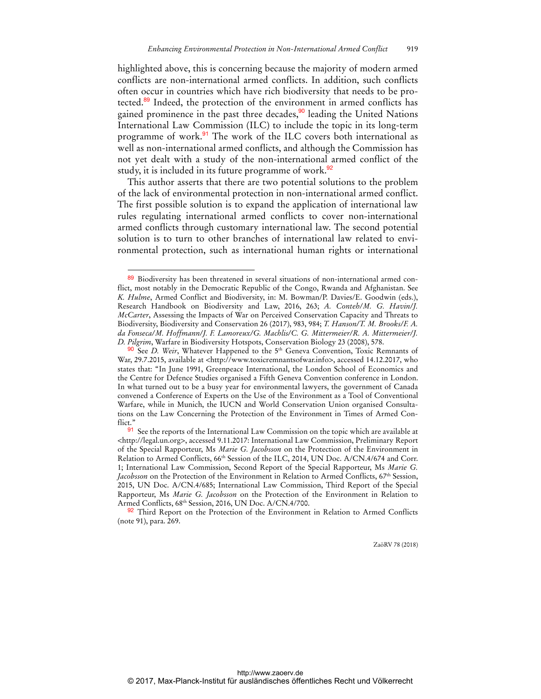highlighted above, this is concerning because the majority of modern armed conflicts are non-international armed conflicts. In addition, such conflicts often occur in countries which have rich biodiversity that needs to be protected.<sup>89</sup> Indeed, the protection of the environment in armed conflicts has gained prominence in the past three decades,<sup>90</sup> leading the United Nations International Law Commission (ILC) to include the topic in its long-term programme of work.<sup>91</sup> The work of the ILC covers both international as well as non-international armed conflicts, and although the Commission has not yet dealt with a study of the non-international armed conflict of the study, it is included in its future programme of work.<sup>92</sup>

This author asserts that there are two potential solutions to the problem of the lack of environmental protection in non-international armed conflict. The first possible solution is to expand the application of international law rules regulating international armed conflicts to cover non-international armed conflicts through customary international law. The second potential solution is to turn to other branches of international law related to environmental protection, such as international human rights or international

 $\overline{a}$ 

<sup>89</sup> Biodiversity has been threatened in several situations of non-international armed conflict, most notably in the Democratic Republic of the Congo, Rwanda and Afghanistan. See *K. Hulme*, Armed Conflict and Biodiversity, in: M. Bowman/P. Davies/E. Goodwin (eds.), Research Handbook on Biodiversity and Law, 2016, 263; *A. Conteh/M. G. Havin/J. McCarter*, Assessing the Impacts of War on Perceived Conservation Capacity and Threats to Biodiversity, Biodiversity and Conservation 26 (2017), 983, 984; *T. Hanson/T. M. Brooks/F. A. da Fonseca/M. Hoffmann/J. F. Lamoreux/G. Machlis/C. G. Mittermeier/R. A. Mittermeier/J. D. Pilgrim*, Warfare in Biodiversity Hotspots, Conservation Biology 23 (2008), 578.

<sup>90</sup> See *D. Weir*, Whatever Happened to the 5th Geneva Convention, Toxic Remnants of War, 29.7.2015, available at <http://www.toxicremnantsofwar.info>, accessed 14.12.2017, who states that: "In June 1991, Greenpeace International, the London School of Economics and the Centre for Defence Studies organised a Fifth Geneva Convention conference in London. In what turned out to be a busy year for environmental lawyers, the government of Canada convened a Conference of Experts on the Use of the Environment as a Tool of Conventional Warfare, while in Munich, the IUCN and World Conservation Union organised Consultations on the Law Concerning the Protection of the Environment in Times of Armed Conflict<sup>:</sup>

<sup>91</sup> See the reports of the International Law Commission on the topic which are available at <http://legal.un.org>, accessed 9.11.2017: International Law Commission, Preliminary Report of the Special Rapporteur, Ms *Marie G. Jacobsson* on the Protection of the Environment in Relation to Armed Conflicts, 66th Session of the ILC, 2014, UN Doc. A/CN.4/674 and Corr. 1; International Law Commission, Second Report of the Special Rapporteur, Ms *Marie G. Jacobsson* on the Protection of the Environment in Relation to Armed Conflicts, 67<sup>th</sup> Session, 2015, UN Doc. A/CN.4/685; International Law Commission, Third Report of the Special Rapporteur, Ms *Marie G. Jacobsson* on the Protection of the Environment in Relation to Armed Conflicts, 68th Session, 2016, UN Doc. A/CN.4/700.

<sup>92</sup> Third Report on the Protection of the Environment in Relation to Armed Conflicts (note 91), para. 269.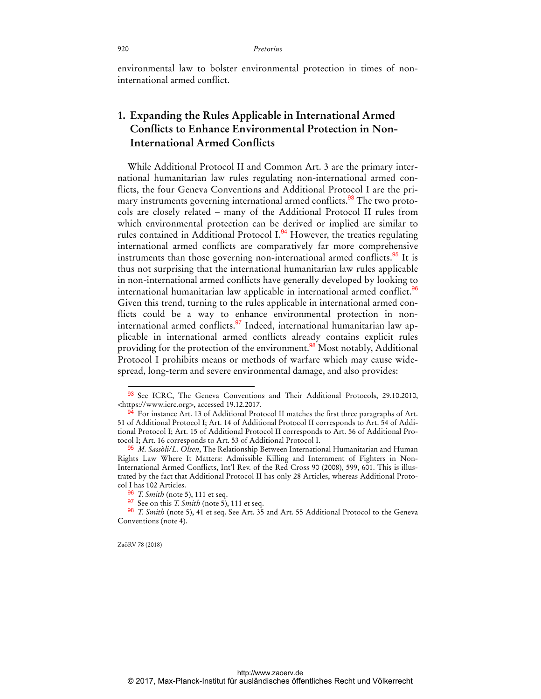environmental law to bolster environmental protection in times of noninternational armed conflict.

# **1. Expanding the Rules Applicable in International Armed Conflicts to Enhance Environmental Protection in Non-International Armed Conflicts**

While Additional Protocol II and Common Art. 3 are the primary international humanitarian law rules regulating non-international armed conflicts, the four Geneva Conventions and Additional Protocol I are the primary instruments governing international armed conflicts.<sup>93</sup> The two protocols are closely related – many of the Additional Protocol II rules from which environmental protection can be derived or implied are similar to rules contained in Additional Protocol I.<sup>94</sup> However, the treaties regulating international armed conflicts are comparatively far more comprehensive instruments than those governing non-international armed conflicts.<sup>95</sup> It is thus not surprising that the international humanitarian law rules applicable in non-international armed conflicts have generally developed by looking to international humanitarian law applicable in international armed conflict.<sup>96</sup> Given this trend, turning to the rules applicable in international armed conflicts could be a way to enhance environmental protection in noninternational armed conflicts.<sup>97</sup> Indeed, international humanitarian law applicable in international armed conflicts already contains explicit rules providing for the protection of the environment.<sup>98</sup> Most notably, Additional Protocol I prohibits means or methods of warfare which may cause widespread, long-term and severe environmental damage, and also provides:

ZaöRV 78 (2018)

<sup>93</sup> See ICRC, The Geneva Conventions and Their Additional Protocols, 29.10.2010, <https://www.icrc.org>, accessed 19.12.2017.

<sup>94</sup> For instance Art. 13 of Additional Protocol II matches the first three paragraphs of Art. 51 of Additional Protocol I; Art. 14 of Additional Protocol II corresponds to Art. 54 of Additional Protocol I; Art. 15 of Additional Protocol II corresponds to Art. 56 of Additional Protocol I; Art. 16 corresponds to Art. 53 of Additional Protocol I.

<sup>95</sup> *M. Sassòli/L. Olsen*, The Relationship Between International Humanitarian and Human Rights Law Where It Matters: Admissible Killing and Internment of Fighters in Non-International Armed Conflicts, Int'l Rev. of the Red Cross 90 (2008), 599, 601. This is illustrated by the fact that Additional Protocol II has only 28 Articles, whereas Additional Protocol I has 102 Articles.

<sup>96</sup> *T. Smith* (note 5), 111 et seq.

<sup>97</sup> See on this *T. Smith* (note 5), 111 et seq.

<sup>98</sup> *T. Smith* (note 5), 41 et seq. See Art. 35 and Art. 55 Additional Protocol to the Geneva Conventions (note 4).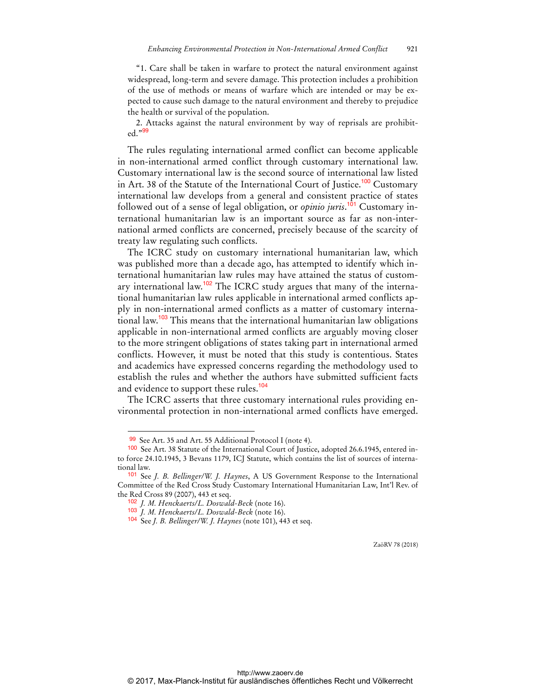"1. Care shall be taken in warfare to protect the natural environment against widespread, long-term and severe damage. This protection includes a prohibition of the use of methods or means of warfare which are intended or may be expected to cause such damage to the natural environment and thereby to prejudice the health or survival of the population.

2. Attacks against the natural environment by way of reprisals are prohibited."<sup>99</sup>

The rules regulating international armed conflict can become applicable in non-international armed conflict through customary international law. Customary international law is the second source of international law listed in Art. 38 of the Statute of the International Court of Justice.<sup>100</sup> Customary international law develops from a general and consistent practice of states followed out of a sense of legal obligation, or *opinio juris*. 101 Customary international humanitarian law is an important source as far as non-international armed conflicts are concerned, precisely because of the scarcity of treaty law regulating such conflicts.

The ICRC study on customary international humanitarian law, which was published more than a decade ago, has attempted to identify which international humanitarian law rules may have attained the status of customary international law.<sup>102</sup> The ICRC study argues that many of the international humanitarian law rules applicable in international armed conflicts apply in non-international armed conflicts as a matter of customary international law.<sup>103</sup> This means that the international humanitarian law obligations applicable in non-international armed conflicts are arguably moving closer to the more stringent obligations of states taking part in international armed conflicts. However, it must be noted that this study is contentious. States and academics have expressed concerns regarding the methodology used to establish the rules and whether the authors have submitted sufficient facts and evidence to support these rules.<sup>104</sup>

The ICRC asserts that three customary international rules providing environmental protection in non-international armed conflicts have emerged.

 $\overline{a}$ 

<sup>99</sup> See Art. 35 and Art. 55 Additional Protocol I (note 4).

<sup>100</sup> See Art. 38 Statute of the International Court of Justice, adopted 26.6.1945, entered into force 24.10.1945, 3 Bevans 1179, ICJ Statute, which contains the list of sources of international law.

<sup>101</sup> See *J. B. Bellinger/W. J. Haynes*, A US Government Response to the International Committee of the Red Cross Study Customary International Humanitarian Law, Int'l Rev. of the Red Cross 89 (2007), 443 et seq.

<sup>102</sup> *J. M. Henckaerts/L. Doswald-Beck* (note 16).

<sup>103</sup> *J. M. Henckaerts/L. Doswald-Beck* (note 16).

<sup>104</sup> See *J. B. Bellinger/W. J. Haynes* (note 101), 443 et seq.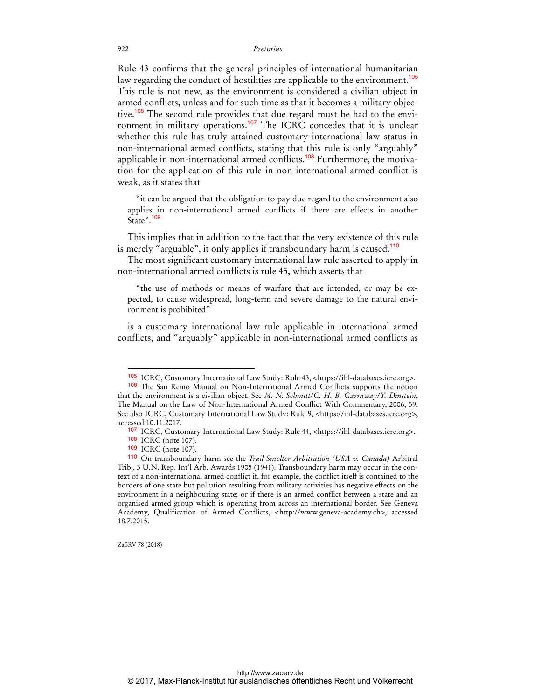Rule 43 confirms that the general principles of international humanitarian law regarding the conduct of hostilities are applicable to the environment.<sup>105</sup> This rule is not new, as the environment is considered a civilian object in armed conflicts, unless and for such time as that it becomes a military objective.<sup>106</sup> The second rule provides that due regard must be had to the environment in military operations.<sup>107</sup> The ICRC concedes that it is unclear whether this rule has truly attained customary international law status in non-international armed conflicts, stating that this rule is only "arguably" applicable in non-international armed conflicts.<sup>108</sup> Furthermore, the motivation for the application of this rule in non-international armed conflict is weak, as it states that

"it can be argued that the obligation to pay due regard to the environment also applies in non-international armed conflicts if there are effects in another State".<sup>109</sup>

This implies that in addition to the fact that the very existence of this rule is merely "arguable", it only applies if transboundary harm is caused.<sup>110</sup>

The most significant customary international law rule asserted to apply in non-international armed conflicts is rule 45, which asserts that

"the use of methods or means of warfare that are intended, or may be expected, to cause widespread, long-term and severe damage to the natural environment is prohibited"

is a customary international law rule applicable in international armed conflicts, and "arguably" applicable in non-international armed conflicts as

ZaöRV 78 (2018)

<sup>105</sup> ICRC, Customary International Law Study: Rule 43, <https://ihl-databases.icrc.org>.

<sup>106</sup> The San Remo Manual on Non-International Armed Conflicts supports the notion that the environment is a civilian object. See *M. N. Schmitt/C. H. B. Garraway/Y. Dinstein*, The Manual on the Law of Non-International Armed Conflict With Commentary, 2006, 59. See also ICRC, Customary International Law Study: Rule 9, <https://ihl-databases.icrc.org>, accessed 10.11.2017.

<sup>107</sup> ICRC, Customary International Law Study: Rule 44, <https://ihl-databases.icrc.org>.

<sup>108</sup> ICRC (note 107).

<sup>109</sup> ICRC (note 107).

<sup>110</sup> On transboundary harm see the *Trail Smelter Arbitration (USA v. Canada)* Arbitral Trib., 3 U.N. Rep. Int'l Arb. Awards 1905 (1941). Transboundary harm may occur in the context of a non-international armed conflict if, for example, the conflict itself is contained to the borders of one state but pollution resulting from military activities has negative effects on the environment in a neighbouring state; or if there is an armed conflict between a state and an organised armed group which is operating from across an international border. See Geneva Academy, Qualification of Armed Conflicts, <http://www.geneva-academy.ch>, accessed 18.7.2015.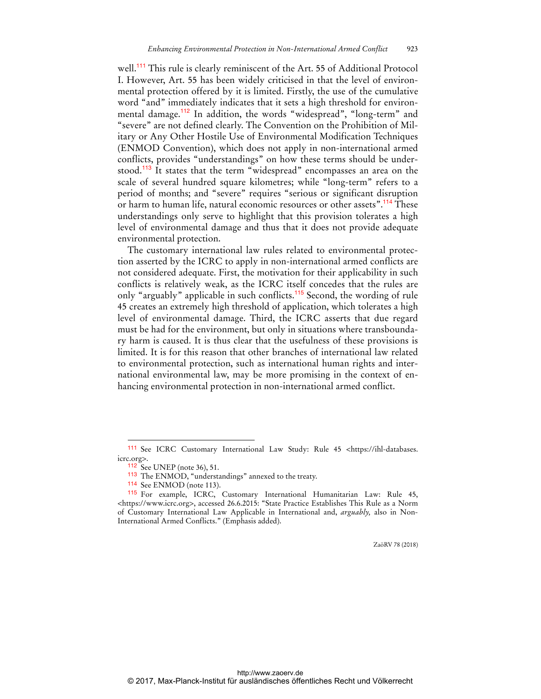well.<sup>111</sup> This rule is clearly reminiscent of the Art. 55 of Additional Protocol I. However, Art. 55 has been widely criticised in that the level of environmental protection offered by it is limited. Firstly, the use of the cumulative word "and" immediately indicates that it sets a high threshold for environmental damage.<sup>112</sup> In addition, the words "widespread", "long-term" and "severe" are not defined clearly. The Convention on the Prohibition of Military or Any Other Hostile Use of Environmental Modification Techniques (ENMOD Convention), which does not apply in non-international armed conflicts, provides "understandings" on how these terms should be understood.<sup>113</sup> It states that the term "widespread" encompasses an area on the scale of several hundred square kilometres; while "long-term" refers to a period of months; and "severe" requires "serious or significant disruption or harm to human life, natural economic resources or other assets".<sup>114</sup> These understandings only serve to highlight that this provision tolerates a high level of environmental damage and thus that it does not provide adequate environmental protection.

The customary international law rules related to environmental protection asserted by the ICRC to apply in non-international armed conflicts are not considered adequate. First, the motivation for their applicability in such conflicts is relatively weak, as the ICRC itself concedes that the rules are only "arguably" applicable in such conflicts.<sup>115</sup> Second, the wording of rule 45 creates an extremely high threshold of application, which tolerates a high level of environmental damage. Third, the ICRC asserts that due regard must be had for the environment, but only in situations where transboundary harm is caused. It is thus clear that the usefulness of these provisions is limited. It is for this reason that other branches of international law related to environmental protection, such as international human rights and international environmental law, may be more promising in the context of enhancing environmental protection in non-international armed conflict.

 $\overline{a}$ 

<sup>111</sup> See ICRC Customary International Law Study: Rule 45 <https://ihl-databases. icrc.org>.

<sup>112</sup> See UNEP (note 36), 51.

<sup>113</sup> The ENMOD, "understandings" annexed to the treaty.

<sup>114</sup> See ENMOD (note 113).

<sup>115</sup> For example, ICRC, Customary International Humanitarian Law: Rule 45, <https://www.icrc.org>, accessed 26.6.2015: "State Practice Establishes This Rule as a Norm of Customary International Law Applicable in International and, *arguably,* also in Non-International Armed Conflicts." (Emphasis added).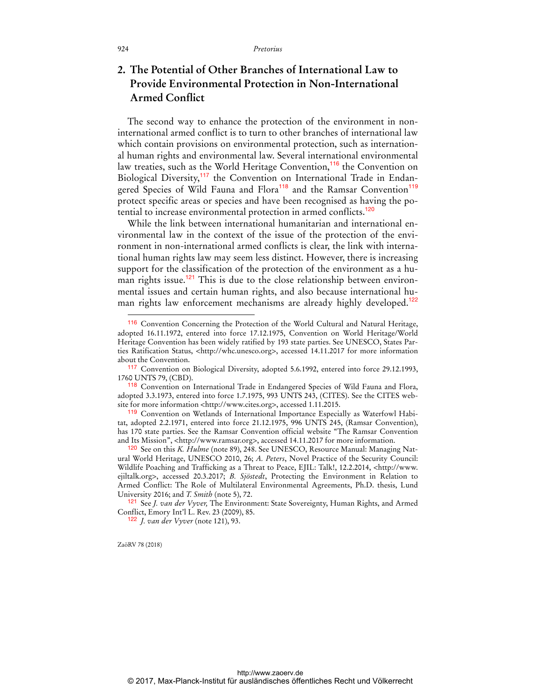# **2. The Potential of Other Branches of International Law to Provide Environmental Protection in Non-International Armed Conflict**

The second way to enhance the protection of the environment in noninternational armed conflict is to turn to other branches of international law which contain provisions on environmental protection, such as international human rights and environmental law. Several international environmental law treaties, such as the World Heritage Convention,<sup>116</sup> the Convention on Biological Diversity,<sup>117</sup> the Convention on International Trade in Endangered Species of Wild Fauna and Flora<sup>118</sup> and the Ramsar Convention<sup>119</sup> protect specific areas or species and have been recognised as having the potential to increase environmental protection in armed conflicts.<sup>120</sup>

While the link between international humanitarian and international environmental law in the context of the issue of the protection of the environment in non-international armed conflicts is clear, the link with international human rights law may seem less distinct. However, there is increasing support for the classification of the protection of the environment as a human rights issue.<sup>121</sup> This is due to the close relationship between environmental issues and certain human rights, and also because international human rights law enforcement mechanisms are already highly developed.<sup>122</sup>

ZaöRV 78 (2018)

<sup>116</sup> Convention Concerning the Protection of the World Cultural and Natural Heritage, adopted 16.11.1972, entered into force 17.12.1975, Convention on World Heritage/World Heritage Convention has been widely ratified by 193 state parties. See UNESCO, States Parties Ratification Status, <http://whc.unesco.org>, accessed 14.11.2017 for more information about the Convention.

<sup>117</sup> Convention on Biological Diversity, adopted 5.6.1992, entered into force 29.12.1993, 1760 UNTS 79, (CBD).

<sup>118</sup> Convention on International Trade in Endangered Species of Wild Fauna and Flora, adopted 3.3.1973, entered into force 1.7.1975, 993 UNTS 243, (CITES). See the CITES website for more information <http://www.cites.org>, accessed 1.11.2015.

<sup>119</sup> Convention on Wetlands of International Importance Especially as Waterfowl Habitat, adopted 2.2.1971, entered into force 21.12.1975, 996 UNTS 245, (Ramsar Convention), has 170 state parties. See the Ramsar Convention official website "The Ramsar Convention and Its Mission", <http://www.ramsar.org>, accessed 14.11.2017 for more information.

<sup>120</sup> See on this *K. Hulme* (note 89), 248. See UNESCO, Resource Manual: Managing Natural World Heritage, UNESCO 2010, 26; *A. Peters*, Novel Practice of the Security Council: Wildlife Poaching and Trafficking as a Threat to Peace, EJIL: Talk!, 12.2.2014, <http://www. ejiltalk.org>, accessed 20.3.2017; *B. Sjöstedt*, Protecting the Environment in Relation to Armed Conflict: The Role of Multilateral Environmental Agreements, Ph.D. thesis, Lund University 2016; and *T. Smith* (note 5), 72.

<sup>121</sup> See *J. van der Vyver,* The Environment: State Sovereignty, Human Rights, and Armed Conflict, Emory Int'l L. Rev. 23 (2009), 85.

<sup>122</sup> *J. van der Vyver* (note 121), 93.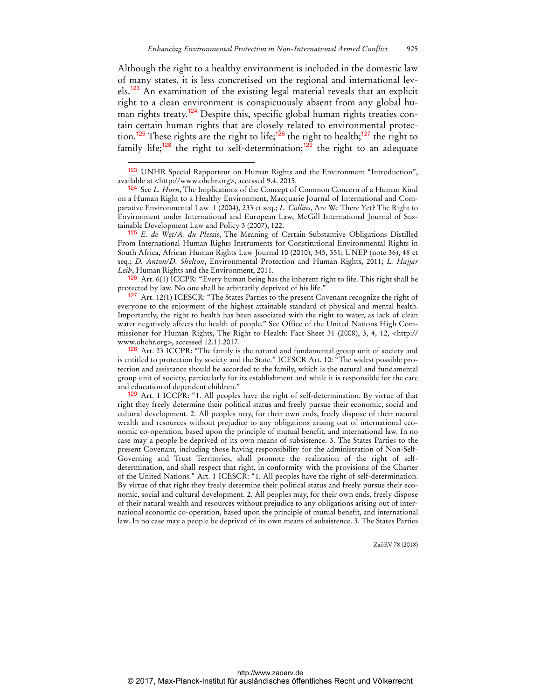Although the right to a healthy environment is included in the domestic law of many states, it is less concretised on the regional and international levels.<sup>123</sup> An examination of the existing legal material reveals that an explicit right to a clean environment is conspicuously absent from any global human rights treaty.<sup>124</sup> Despite this, specific global human rights treaties contain certain human rights that are closely related to environmental protection.<sup>125</sup> These rights are the right to life;<sup>126</sup> the right to health;<sup>127</sup> the right to family life;<sup>128</sup> the right to self-determination;<sup>129</sup> the right to an adequate

 $\overline{a}$ 

126 Art. 6(1) ICCPR: "Every human being has the inherent right to life. This right shall be protected by law. No one shall be arbitrarily deprived of his life."

<sup>127</sup> Art. 12(1) ICESCR: "The States Parties to the present Covenant recognize the right of everyone to the enjoyment of the highest attainable standard of physical and mental health. Importantly, the right to health has been associated with the right to water, as lack of clean water negatively affects the health of people." See Office of the United Nations High Commissioner for Human Rights, The Right to Health: Fact Sheet 31 (2008), 3, 4, 12, <http:// www.ohchr.org>, accessed 12.11.2017.

<sup>128</sup> Art. 23 ICCPR: "The family is the natural and fundamental group unit of society and is entitled to protection by society and the State." ICESCR Art. 10: "The widest possible protection and assistance should be accorded to the family, which is the natural and fundamental group unit of society, particularly for its establishment and while it is responsible for the care and education of dependent children."

129 Art. 1 ICCPR: "1. All peoples have the right of self-determination. By virtue of that right they freely determine their political status and freely pursue their economic, social and cultural development. 2. All peoples may, for their own ends, freely dispose of their natural wealth and resources without prejudice to any obligations arising out of international economic co-operation, based upon the principle of mutual benefit, and international law. In no case may a people be deprived of its own means of subsistence. 3. The States Parties to the present Covenant, including those having responsibility for the administration of Non-Self-Governing and Trust Territories, shall promote the realization of the right of selfdetermination, and shall respect that right, in conformity with the provisions of the Charter of the United Nations." Art. 1 ICESCR: "1. All peoples have the right of self-determination. By virtue of that right they freely determine their political status and freely pursue their economic, social and cultural development. 2. All peoples may, for their own ends, freely dispose of their natural wealth and resources without prejudice to any obligations arising out of international economic co-operation, based upon the principle of mutual benefit, and international law. In no case may a people be deprived of its own means of subsistence. 3. The States Parties

<sup>123</sup> UNHR Special Rapporteur on Human Rights and the Environment "Introduction", available at <http://www.ohchr.org>, accessed 9.4. 2015.

<sup>124</sup> See *L. Horn*, The Implications of the Concept of Common Concern of a Human Kind on a Human Right to a Healthy Environment, Macquarie Journal of International and Comparative Environmental Law 1 (2004), 233 et seq.; *L. Collins*, Are We There Yet? The Right to Environment under International and European Law, McGill International Journal of Sustainable Development Law and Policy 3 (2007), 122.

<sup>125</sup> *E. de Wet/A. du Plessis*, The Meaning of Certain Substantive Obligations Distilled From International Human Rights Instruments for Constitutional Environmental Rights in South Africa, African Human Rights Law Journal 10 (2010), 345, 351; UNEP (note 36), 48 et seq.; *D. Anton/D. Shelton*, Environmental Protection and Human Rights, 2011; *L. Hajjar Leib*, Human Rights and the Environment, 2011.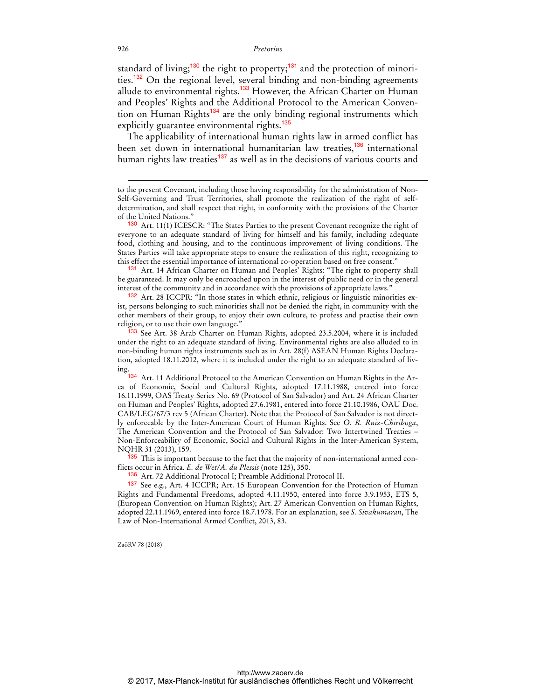standard of living;<sup>130</sup> the right to property;<sup>131</sup> and the protection of minorities.<sup>132</sup> On the regional level, several binding and non-binding agreements allude to environmental rights.<sup>133</sup> However, the African Charter on Human and Peoples' Rights and the Additional Protocol to the American Convention on Human Rights<sup>134</sup> are the only binding regional instruments which explicitly guarantee environmental rights.<sup>135</sup>

The applicability of international human rights law in armed conflict has been set down in international humanitarian law treaties,<sup>136</sup> international human rights law treaties<sup>137</sup> as well as in the decisions of various courts and

131 Art. 14 African Charter on Human and Peoples' Rights: "The right to property shall be guaranteed. It may only be encroached upon in the interest of public need or in the general interest of the community and in accordance with the provisions of appropriate laws."

132 Art. 28 ICCPR: "In those states in which ethnic, religious or linguistic minorities exist, persons belonging to such minorities shall not be denied the right, in community with the other members of their group, to enjoy their own culture, to profess and practise their own religion, or to use their own language."

<sup>133</sup> See Art. 38 Arab Charter on Human Rights, adopted 23.5.2004, where it is included under the right to an adequate standard of living. Environmental rights are also alluded to in non-binding human rights instruments such as in Art. 28(f) ASEAN Human Rights Declaration, adopted 18.11.2012, where it is included under the right to an adequate standard of living.

Art. 11 Additional Protocol to the American Convention on Human Rights in the Area of Economic, Social and Cultural Rights, adopted 17.11.1988, entered into force 16.11.1999, OAS Treaty Series No. 69 (Protocol of San Salvador) and Art. 24 African Charter on Human and Peoples' Rights, adopted 27.6.1981, entered into force 21.10.1986, OAU Doc. CAB/LEG/67/3 rev 5 (African Charter). Note that the Protocol of San Salvador is not directly enforceable by the Inter-American Court of Human Rights. See *O. R. Ruiz-Chiriboga*, The American Convention and the Protocol of San Salvador: Two Intertwined Treaties – Non-Enforceability of Economic, Social and Cultural Rights in the Inter-American System, NQHR 31 (2013), 159.

<sup>35</sup> This is important because to the fact that the majority of non-international armed conflicts occur in Africa. *E. de Wet/A. du Plessis* (note 125), 350.

136 Art. 72 Additional Protocol I; Preamble Additional Protocol II.

137 See e.g., Art. 4 ICCPR; Art. 15 European Convention for the Protection of Human Rights and Fundamental Freedoms, adopted 4.11.1950, entered into force 3.9.1953, ETS 5, (European Convention on Human Rights); Art. 27 American Convention on Human Rights, adopted 22.11.1969, entered into force 18.7.1978. For an explanation, see *S. Sivakumaran*, The Law of Non-International Armed Conflict, 2013, 83.

ZaöRV 78 (2018)

to the present Covenant, including those having responsibility for the administration of Non-Self-Governing and Trust Territories, shall promote the realization of the right of selfdetermination, and shall respect that right, in conformity with the provisions of the Charter of the United Nations."

<sup>130</sup> Art. 11(1) ICESCR: "The States Parties to the present Covenant recognize the right of everyone to an adequate standard of living for himself and his family, including adequate food, clothing and housing, and to the continuous improvement of living conditions. The States Parties will take appropriate steps to ensure the realization of this right, recognizing to this effect the essential importance of international co-operation based on free consent."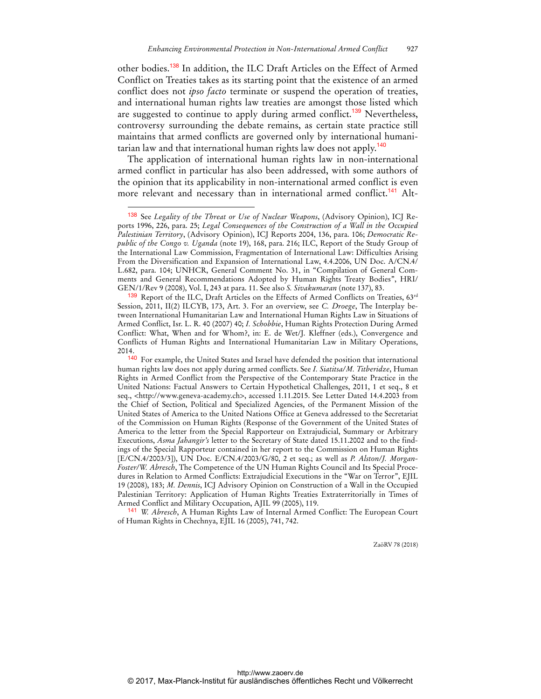other bodies.<sup>138</sup> In addition, the ILC Draft Articles on the Effect of Armed Conflict on Treaties takes as its starting point that the existence of an armed conflict does not *ipso facto* terminate or suspend the operation of treaties, and international human rights law treaties are amongst those listed which are suggested to continue to apply during armed conflict.<sup>139</sup> Nevertheless, controversy surrounding the debate remains, as certain state practice still maintains that armed conflicts are governed only by international humanitarian law and that international human rights law does not apply.<sup>140</sup>

The application of international human rights law in non-international armed conflict in particular has also been addressed, with some authors of the opinion that its applicability in non-international armed conflict is even more relevant and necessary than in international armed conflict.<sup>141</sup> Alt-

 $\overline{a}$ 

141 *W. Abresch*, A Human Rights Law of Internal Armed Conflict: The European Court of Human Rights in Chechnya, EJIL 16 (2005), 741, 742.

<sup>138</sup> See *Legality of the Threat or Use of Nuclear Weapons*, (Advisory Opinion), ICJ Reports 1996, 226, para. 25; *Legal Consequences of the Construction of a Wall in the Occupied Palestinian Territory*, (Advisory Opinion), ICJ Reports 2004, 136, para. 106; *Democratic Republic of the Congo v. Uganda* (note 19), 168, para. 216; ILC, Report of the Study Group of the International Law Commission, Fragmentation of International Law: Difficulties Arising From the Diversification and Expansion of International Law, 4.4.2006, UN Doc. A/CN.4/ L.682, para. 104; UNHCR, General Comment No. 31, in "Compilation of General Comments and General Recommendations Adopted by Human Rights Treaty Bodies", HRI/ GEN/1/Rev 9 (2008), Vol. I, 243 at para. 11. See also *S. Sivakumaran* (note 137), 83.

<sup>139</sup> Report of the ILC, Draft Articles on the Effects of Armed Conflicts on Treaties, 63rd Session, 2011, II(2) ILCYB, 173, Art. 3. For an overview, see *C. Droege*, The Interplay between International Humanitarian Law and International Human Rights Law in Situations of Armed Conflict, Isr. L. R. 40 (2007) 40; *I. Schobbie*, Human Rights Protection During Armed Conflict: What, When and for Whom?, in: E. de Wet/J. Kleffner (eds.), Convergence and Conflicts of Human Rights and International Humanitarian Law in Military Operations, 2014.

<sup>140</sup> For example, the United States and Israel have defended the position that international human rights law does not apply during armed conflicts. See *I. Siatitsa/M. Titberidze*, Human Rights in Armed Conflict from the Perspective of the Contemporary State Practice in the United Nations: Factual Answers to Certain Hypothetical Challenges, 2011, 1 et seq., 8 et seq., <http://www.geneva-academy.ch>, accessed 1.11.2015. See Letter Dated 14.4.2003 from the Chief of Section, Political and Specialized Agencies, of the Permanent Mission of the United States of America to the United Nations Office at Geneva addressed to the Secretariat of the Commission on Human Rights (Response of the Government of the United States of America to the letter from the Special Rapporteur on Extrajudicial, Summary or Arbitrary Executions, *Asma Jahangir's* letter to the Secretary of State dated 15.11.2002 and to the findings of the Special Rapporteur contained in her report to the Commission on Human Rights [E/CN.4/2003/3]), UN Doc. E/CN.4/2003/G/80, 2 et seq.; as well as *P. Alston/J. Morgan-Foster/W. Abresch*, The Competence of the UN Human Rights Council and Its Special Procedures in Relation to Armed Conflicts: Extrajudicial Executions in the "War on Terror", EJIL 19 (2008), 183; *M. Dennis*, ICJ Advisory Opinion on Construction of a Wall in the Occupied Palestinian Territory: Application of Human Rights Treaties Extraterritorially in Times of Armed Conflict and Military Occupation, AJIL 99 (2005), 119.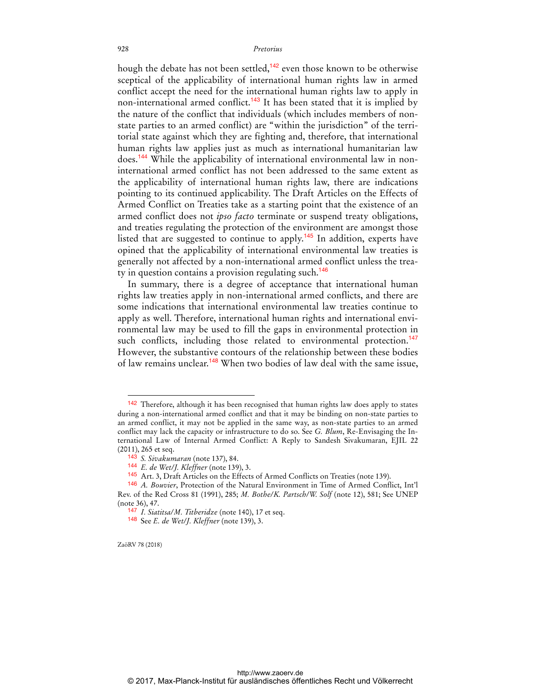hough the debate has not been settled,<sup>142</sup> even those known to be otherwise sceptical of the applicability of international human rights law in armed conflict accept the need for the international human rights law to apply in non-international armed conflict.<sup>143</sup> It has been stated that it is implied by the nature of the conflict that individuals (which includes members of nonstate parties to an armed conflict) are "within the jurisdiction" of the territorial state against which they are fighting and, therefore, that international human rights law applies just as much as international humanitarian law does.144 While the applicability of international environmental law in noninternational armed conflict has not been addressed to the same extent as the applicability of international human rights law, there are indications pointing to its continued applicability. The Draft Articles on the Effects of Armed Conflict on Treaties take as a starting point that the existence of an armed conflict does not *ipso facto* terminate or suspend treaty obligations, and treaties regulating the protection of the environment are amongst those listed that are suggested to continue to apply.<sup>145</sup> In addition, experts have opined that the applicability of international environmental law treaties is generally not affected by a non-international armed conflict unless the treaty in question contains a provision regulating such.<sup>146</sup>

In summary, there is a degree of acceptance that international human rights law treaties apply in non-international armed conflicts, and there are some indications that international environmental law treaties continue to apply as well. Therefore, international human rights and international environmental law may be used to fill the gaps in environmental protection in such conflicts, including those related to environmental protection.<sup>147</sup> However, the substantive contours of the relationship between these bodies of law remains unclear.<sup>148</sup> When two bodies of law deal with the same issue,

ZaöRV 78 (2018)

<sup>142</sup> Therefore, although it has been recognised that human rights law does apply to states during a non-international armed conflict and that it may be binding on non-state parties to an armed conflict, it may not be applied in the same way, as non-state parties to an armed conflict may lack the capacity or infrastructure to do so. See *G. Blum*, Re-Envisaging the International Law of Internal Armed Conflict: A Reply to Sandesh Sivakumaran, EJIL 22 (2011), 265 et seq.

<sup>143</sup> *S. Sivakumaran* (note 137), 84.

<sup>144</sup> *E. de Wet/J. Kleffner* (note 139), 3.

<sup>145</sup> Art. 3, Draft Articles on the Effects of Armed Conflicts on Treaties (note 139).

<sup>146</sup> *A. Bouvier*, Protection of the Natural Environment in Time of Armed Conflict, Int'l Rev. of the Red Cross 81 (1991), 285; *M. Bothe/K. Partsch/W. Solf* (note 12), 581; See UNEP (note 36), 47.

<sup>147</sup> *I. Siatitsa/M. Titberidze* (note 140), 17 et seq.

<sup>148</sup> See *E. de Wet/J. Kleffner* (note 139), 3.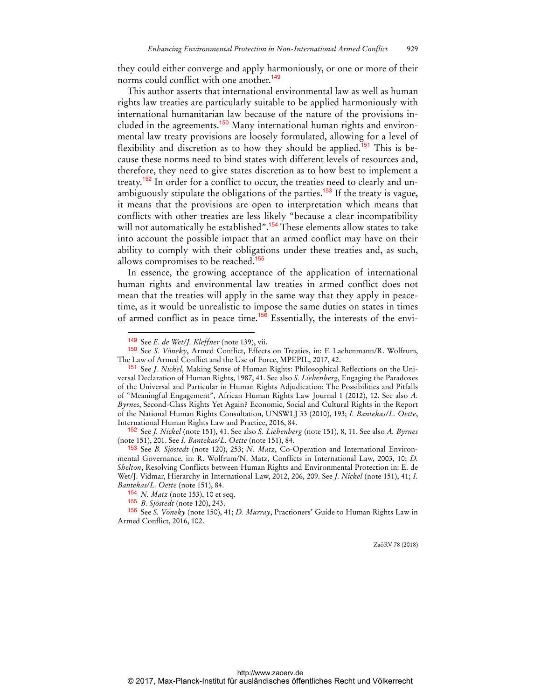they could either converge and apply harmoniously, or one or more of their norms could conflict with one another.<sup>149</sup>

This author asserts that international environmental law as well as human rights law treaties are particularly suitable to be applied harmoniously with international humanitarian law because of the nature of the provisions included in the agreements.<sup>150</sup> Many international human rights and environmental law treaty provisions are loosely formulated, allowing for a level of flexibility and discretion as to how they should be applied.<sup>151</sup> This is because these norms need to bind states with different levels of resources and, therefore, they need to give states discretion as to how best to implement a treaty.<sup>152</sup> In order for a conflict to occur, the treaties need to clearly and unambiguously stipulate the obligations of the parties.<sup>153</sup> If the treaty is vague, it means that the provisions are open to interpretation which means that conflicts with other treaties are less likely "because a clear incompatibility will not automatically be established".<sup>154</sup> These elements allow states to take into account the possible impact that an armed conflict may have on their ability to comply with their obligations under these treaties and, as such, allows compromises to be reached.<sup>155</sup>

In essence, the growing acceptance of the application of international human rights and environmental law treaties in armed conflict does not mean that the treaties will apply in the same way that they apply in peacetime, as it would be unrealistic to impose the same duties on states in times of armed conflict as in peace time.<sup>156</sup> Essentially, the interests of the envi-

 $\overline{a}$ 

<sup>149</sup> See *E. de Wet/J. Kleffner* (note 139), vii.

<sup>150</sup> See *S. Vöneky*, Armed Conflict, Effects on Treaties, in: F. Lachenmann/R. Wolfrum, The Law of Armed Conflict and the Use of Force, MPEPIL, 2017, 42.

<sup>151</sup> See *J. Nickel*, Making Sense of Human Rights: Philosophical Reflections on the Universal Declaration of Human Rights, 1987, 41. See also *S. Liebenberg*, Engaging the Paradoxes of the Universal and Particular in Human Rights Adjudication: The Possibilities and Pitfalls of "Meaningful Engagement", African Human Rights Law Journal 1 (2012), 12. See also *A. Byrnes*, Second-Class Rights Yet Again? Economic, Social and Cultural Rights in the Report of the National Human Rights Consultation, UNSWLJ 33 (2010), 193; *I. Bantekas/L. Oette*, International Human Rights Law and Practice, 2016, 84.

<sup>152</sup> See *J. Nickel* (note 151), 41. See also *S. Liebenberg* (note 151), 8, 11. See also *A. Byrnes* (note 151), 201. See *I. Bantekas/L. Oette* (note 151), 84.

<sup>153</sup> See *B. Sjöstedt* (note 120), 253; *N. Matz*, Co-Operation and International Environmental Governance, in: R. Wolfrum/N. Matz, Conflicts in International Law, 2003, 10; *D. Shelton*, Resolving Conflicts between Human Rights and Environmental Protection in: E. de Wet/J. Vidmar, Hierarchy in International Law, 2012, 206, 209. See *J. Nickel* (note 151), 41; *I. Bantekas/L. Oette* (note 151), 84.

<sup>154</sup> *N. Matz* (note 153), 10 et seq.

<sup>155</sup> *B. Sjöstedt* (note 120), 243.

<sup>156</sup> See *S. Vöneky* (note 150), 41; *D. Murray*, Practioners' Guide to Human Rights Law in Armed Conflict, 2016, 102.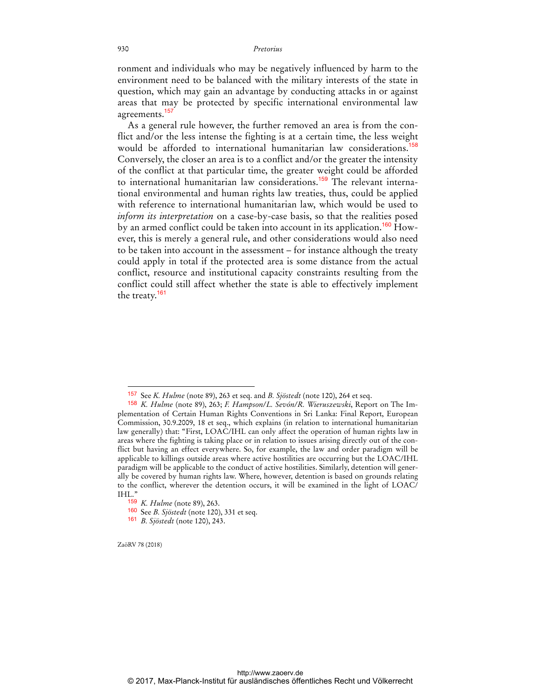ronment and individuals who may be negatively influenced by harm to the environment need to be balanced with the military interests of the state in question, which may gain an advantage by conducting attacks in or against areas that may be protected by specific international environmental law agreements.<sup>157</sup>

As a general rule however, the further removed an area is from the conflict and/or the less intense the fighting is at a certain time, the less weight would be afforded to international humanitarian law considerations.<sup>158</sup> Conversely, the closer an area is to a conflict and/or the greater the intensity of the conflict at that particular time, the greater weight could be afforded to international humanitarian law considerations.<sup>159</sup> The relevant international environmental and human rights law treaties, thus, could be applied with reference to international humanitarian law, which would be used to *inform its interpretation* on a case-by-case basis, so that the realities posed by an armed conflict could be taken into account in its application.<sup>160</sup> However, this is merely a general rule, and other considerations would also need to be taken into account in the assessment – for instance although the treaty could apply in total if the protected area is some distance from the actual conflict, resource and institutional capacity constraints resulting from the conflict could still affect whether the state is able to effectively implement the treaty.<sup>161</sup>

ZaöRV 78 (2018)

<sup>157</sup> See *K. Hulme* (note 89), 263 et seq. and *B. Sjöstedt* (note 120), 264 et seq.

<sup>158</sup> *K. Hulme* (note 89), 263; *F. Hampson/L. Sevón/R. Wieruszewski*, Report on The Implementation of Certain Human Rights Conventions in Sri Lanka: Final Report, European Commission, 30.9.2009, 18 et seq., which explains (in relation to international humanitarian law generally) that: "First, LOAC/IHL can only affect the operation of human rights law in areas where the fighting is taking place or in relation to issues arising directly out of the conflict but having an effect everywhere. So, for example, the law and order paradigm will be applicable to killings outside areas where active hostilities are occurring but the LOAC/IHL paradigm will be applicable to the conduct of active hostilities. Similarly, detention will generally be covered by human rights law. Where, however, detention is based on grounds relating to the conflict, wherever the detention occurs, it will be examined in the light of LOAC/ IHL."

<sup>159</sup> *K. Hulme* (note 89), 263.

<sup>160</sup> See *B. Sjöstedt* (note 120), 331 et seq.

<sup>161</sup> *B. Sjöstedt* (note 120), 243.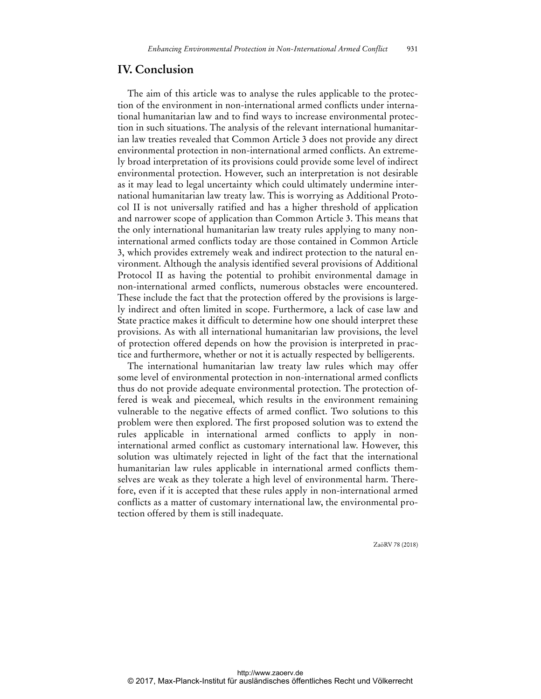# **IV. Conclusion**

The aim of this article was to analyse the rules applicable to the protection of the environment in non-international armed conflicts under international humanitarian law and to find ways to increase environmental protection in such situations. The analysis of the relevant international humanitarian law treaties revealed that Common Article 3 does not provide any direct environmental protection in non-international armed conflicts. An extremely broad interpretation of its provisions could provide some level of indirect environmental protection. However, such an interpretation is not desirable as it may lead to legal uncertainty which could ultimately undermine international humanitarian law treaty law. This is worrying as Additional Protocol II is not universally ratified and has a higher threshold of application and narrower scope of application than Common Article 3. This means that the only international humanitarian law treaty rules applying to many noninternational armed conflicts today are those contained in Common Article 3, which provides extremely weak and indirect protection to the natural environment. Although the analysis identified several provisions of Additional Protocol II as having the potential to prohibit environmental damage in non-international armed conflicts, numerous obstacles were encountered. These include the fact that the protection offered by the provisions is largely indirect and often limited in scope. Furthermore, a lack of case law and State practice makes it difficult to determine how one should interpret these provisions. As with all international humanitarian law provisions, the level of protection offered depends on how the provision is interpreted in practice and furthermore, whether or not it is actually respected by belligerents.

The international humanitarian law treaty law rules which may offer some level of environmental protection in non-international armed conflicts thus do not provide adequate environmental protection. The protection offered is weak and piecemeal, which results in the environment remaining vulnerable to the negative effects of armed conflict. Two solutions to this problem were then explored. The first proposed solution was to extend the rules applicable in international armed conflicts to apply in noninternational armed conflict as customary international law. However, this solution was ultimately rejected in light of the fact that the international humanitarian law rules applicable in international armed conflicts themselves are weak as they tolerate a high level of environmental harm. Therefore, even if it is accepted that these rules apply in non-international armed conflicts as a matter of customary international law, the environmental protection offered by them is still inadequate.